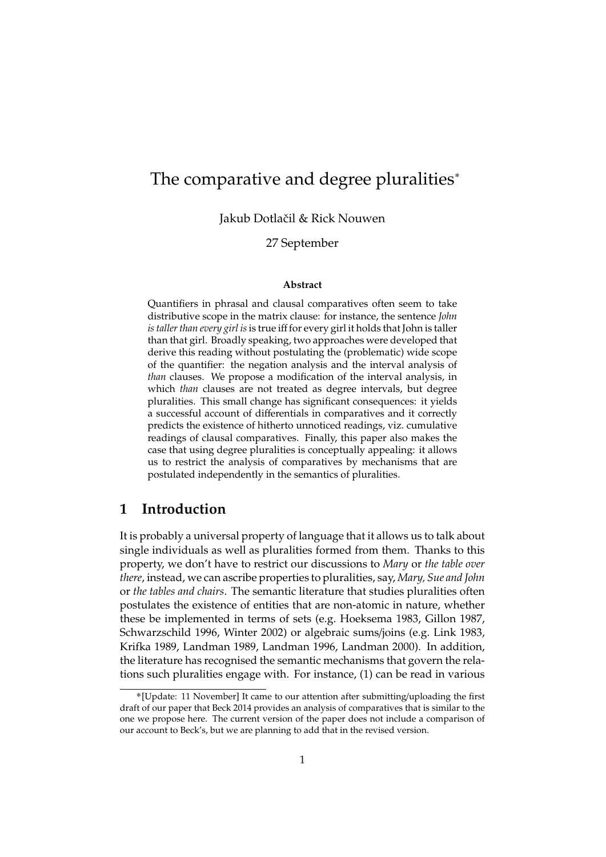# The comparative and degree pluralities˚

Jakub Dotlačil & Rick Nouwen

### 27 September

#### **Abstract**

Quantifiers in phrasal and clausal comparatives often seem to take distributive scope in the matrix clause: for instance, the sentence *John is taller than every girl is*is true iff for every girl it holds that John is taller than that girl. Broadly speaking, two approaches were developed that derive this reading without postulating the (problematic) wide scope of the quantifier: the negation analysis and the interval analysis of *than* clauses. We propose a modification of the interval analysis, in which *than* clauses are not treated as degree intervals, but degree pluralities. This small change has significant consequences: it yields a successful account of differentials in comparatives and it correctly predicts the existence of hitherto unnoticed readings, viz. cumulative readings of clausal comparatives. Finally, this paper also makes the case that using degree pluralities is conceptually appealing: it allows us to restrict the analysis of comparatives by mechanisms that are postulated independently in the semantics of pluralities.

## **1 Introduction**

It is probably a universal property of language that it allows us to talk about single individuals as well as pluralities formed from them. Thanks to this property, we don't have to restrict our discussions to *Mary* or *the table over there*, instead, we can ascribe properties to pluralities, say, *Mary, Sue and John* or *the tables and chairs*. The semantic literature that studies pluralities often postulates the existence of entities that are non-atomic in nature, whether these be implemented in terms of sets (e.g. Hoeksema 1983, Gillon 1987, Schwarzschild 1996, Winter 2002) or algebraic sums/joins (e.g. Link 1983, Krifka 1989, Landman 1989, Landman 1996, Landman 2000). In addition, the literature has recognised the semantic mechanisms that govern the relations such pluralities engage with. For instance, (1) can be read in various

<sup>˚</sup>[Update: 11 November] It came to our attention after submitting/uploading the first draft of our paper that Beck 2014 provides an analysis of comparatives that is similar to the one we propose here. The current version of the paper does not include a comparison of our account to Beck's, but we are planning to add that in the revised version.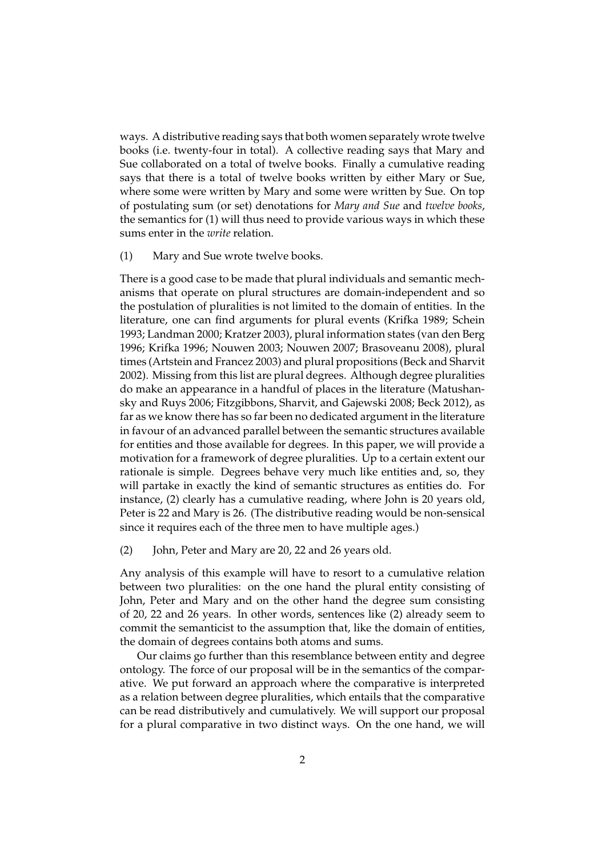ways. A distributive reading says that both women separately wrote twelve books (i.e. twenty-four in total). A collective reading says that Mary and Sue collaborated on a total of twelve books. Finally a cumulative reading says that there is a total of twelve books written by either Mary or Sue, where some were written by Mary and some were written by Sue. On top of postulating sum (or set) denotations for *Mary and Sue* and *twelve books*, the semantics for (1) will thus need to provide various ways in which these sums enter in the *write* relation.

(1) Mary and Sue wrote twelve books.

There is a good case to be made that plural individuals and semantic mechanisms that operate on plural structures are domain-independent and so the postulation of pluralities is not limited to the domain of entities. In the literature, one can find arguments for plural events (Krifka 1989; Schein 1993; Landman 2000; Kratzer 2003), plural information states (van den Berg 1996; Krifka 1996; Nouwen 2003; Nouwen 2007; Brasoveanu 2008), plural times (Artstein and Francez 2003) and plural propositions (Beck and Sharvit 2002). Missing from this list are plural degrees. Although degree pluralities do make an appearance in a handful of places in the literature (Matushansky and Ruys 2006; Fitzgibbons, Sharvit, and Gajewski 2008; Beck 2012), as far as we know there has so far been no dedicated argument in the literature in favour of an advanced parallel between the semantic structures available for entities and those available for degrees. In this paper, we will provide a motivation for a framework of degree pluralities. Up to a certain extent our rationale is simple. Degrees behave very much like entities and, so, they will partake in exactly the kind of semantic structures as entities do. For instance, (2) clearly has a cumulative reading, where John is 20 years old, Peter is 22 and Mary is 26. (The distributive reading would be non-sensical since it requires each of the three men to have multiple ages.)

(2) John, Peter and Mary are 20, 22 and 26 years old.

Any analysis of this example will have to resort to a cumulative relation between two pluralities: on the one hand the plural entity consisting of John, Peter and Mary and on the other hand the degree sum consisting of 20, 22 and 26 years. In other words, sentences like (2) already seem to commit the semanticist to the assumption that, like the domain of entities, the domain of degrees contains both atoms and sums.

Our claims go further than this resemblance between entity and degree ontology. The force of our proposal will be in the semantics of the comparative. We put forward an approach where the comparative is interpreted as a relation between degree pluralities, which entails that the comparative can be read distributively and cumulatively. We will support our proposal for a plural comparative in two distinct ways. On the one hand, we will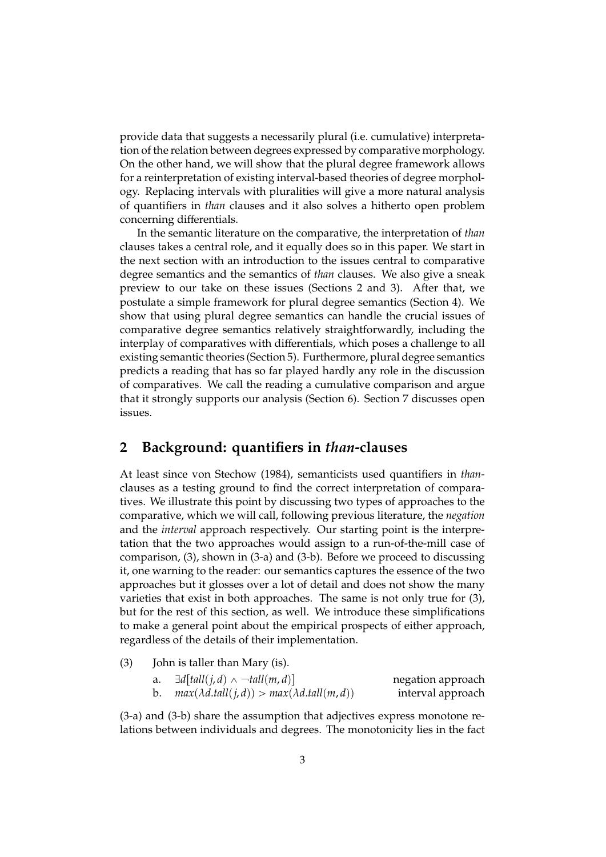provide data that suggests a necessarily plural (i.e. cumulative) interpretation of the relation between degrees expressed by comparative morphology. On the other hand, we will show that the plural degree framework allows for a reinterpretation of existing interval-based theories of degree morphology. Replacing intervals with pluralities will give a more natural analysis of quantifiers in *than* clauses and it also solves a hitherto open problem concerning differentials.

In the semantic literature on the comparative, the interpretation of *than* clauses takes a central role, and it equally does so in this paper. We start in the next section with an introduction to the issues central to comparative degree semantics and the semantics of *than* clauses. We also give a sneak preview to our take on these issues (Sections 2 and 3). After that, we postulate a simple framework for plural degree semantics (Section 4). We show that using plural degree semantics can handle the crucial issues of comparative degree semantics relatively straightforwardly, including the interplay of comparatives with differentials, which poses a challenge to all existing semantic theories (Section 5). Furthermore, plural degree semantics predicts a reading that has so far played hardly any role in the discussion of comparatives. We call the reading a cumulative comparison and argue that it strongly supports our analysis (Section 6). Section 7 discusses open issues.

# **2 Background: quantifiers in** *than***-clauses**

At least since von Stechow (1984), semanticists used quantifiers in *than*clauses as a testing ground to find the correct interpretation of comparatives. We illustrate this point by discussing two types of approaches to the comparative, which we will call, following previous literature, the *negation* and the *interval* approach respectively. Our starting point is the interpretation that the two approaches would assign to a run-of-the-mill case of comparison, (3), shown in (3-a) and (3-b). Before we proceed to discussing it, one warning to the reader: our semantics captures the essence of the two approaches but it glosses over a lot of detail and does not show the many varieties that exist in both approaches. The same is not only true for (3), but for the rest of this section, as well. We introduce these simplifications to make a general point about the empirical prospects of either approach, regardless of the details of their implementation.

(3) John is taller than Mary (is).

| a. | $\exists d[tall(j,d) \wedge \neg tall(m,d)]$            | negation approach |
|----|---------------------------------------------------------|-------------------|
|    | $max(\lambda d.tall(j, d)) > max(\lambda d.tall(m, d))$ | interval approach |

(3-a) and (3-b) share the assumption that adjectives express monotone relations between individuals and degrees. The monotonicity lies in the fact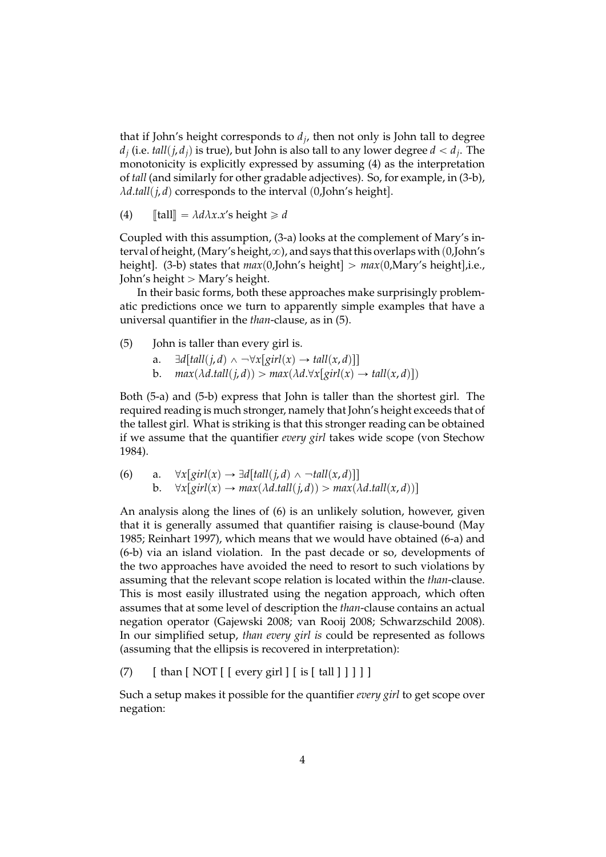that if John's height corresponds to *d<sup>j</sup>* , then not only is John tall to degree  $d_j$  (i.e.  $\textit{tall}(j, d_j)$  is true), but John is also tall to any lower degree  $d < d_j.$  The monotonicity is explicitly expressed by assuming (4) as the interpretation of *tall* (and similarly for other gradable adjectives). So, for example, in (3-b),  $\lambda$ *d.tall*(*j*,*d*) corresponds to the interval (0,John's height).

(4)  $\llbracket \text{tall} \rrbracket = \lambda d\lambda x.x's \text{ height} \geq d$ 

Coupled with this assumption, (3-a) looks at the complement of Mary's interval of height, (Mary's height, $\infty$ ), and says that this overlaps with (0,John's height]. (3-b) states that  $max(0, John's height] > max(0, Mary's height], i.e.,$ John's height  $>$  Mary's height.

In their basic forms, both these approaches make surprisingly problematic predictions once we turn to apparently simple examples that have a universal quantifier in the *than*-clause, as in (5).

- (5) John is taller than every girl is.
	- a.  $\exists d[fall(j, d) \land \neg \forall x[ girl(x) \rightarrow tall(x, d)]$
	- b.  $max(\lambda d.tall(j, d)) > max(\lambda d.\forall x[girl(x) \rightarrow tall(x, d)])$

Both (5-a) and (5-b) express that John is taller than the shortest girl. The required reading is much stronger, namely that John's height exceeds that of the tallest girl. What is striking is that this stronger reading can be obtained if we assume that the quantifier *every girl* takes wide scope (von Stechow 1984).

(6) a. 
$$
\forall x [girl(x) \rightarrow \exists d[tall(j,d) \land \neg tall(x,d)]]
$$

\nb. 
$$
\forall x [girl(x) \rightarrow max(\lambda d.tall(j,d)) > max(\lambda d.tall(x,d))]
$$

An analysis along the lines of (6) is an unlikely solution, however, given that it is generally assumed that quantifier raising is clause-bound (May 1985; Reinhart 1997), which means that we would have obtained (6-a) and (6-b) via an island violation. In the past decade or so, developments of the two approaches have avoided the need to resort to such violations by assuming that the relevant scope relation is located within the *than*-clause. This is most easily illustrated using the negation approach, which often assumes that at some level of description the *than*-clause contains an actual negation operator (Gajewski 2008; van Rooij 2008; Schwarzschild 2008). In our simplified setup, *than every girl is* could be represented as follows (assuming that the ellipsis is recovered in interpretation):

(7)  $\left[ \text{ than } \left[ \text{ NOT} \right] \left[ \text{ every girl} \right] \left[ \text{ is } \left[ \text{ tall} \right] \right] \left[ \right] \right]$ 

Such a setup makes it possible for the quantifier *every girl* to get scope over negation: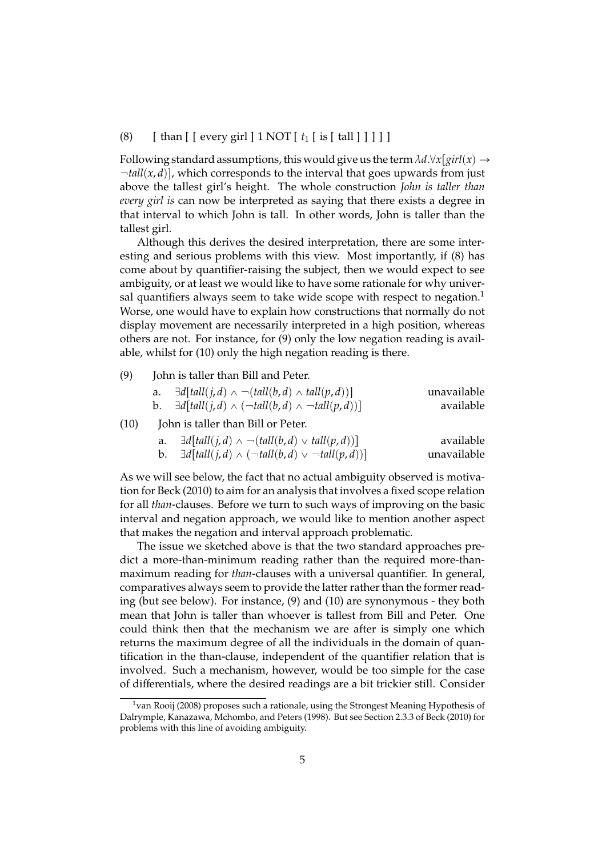#### (8) [ than [ [ every girl ] 1 NOT [ *t*<sup>1</sup> [ is [ tall ] ] ] ] ]

Following standard assumptions, this would give us the term  $\lambda d.\forall x [girl(x) \rightarrow$  $\lnot$ *tall*(*x*, *d*)], which corresponds to the interval that goes upwards from just above the tallest girl's height. The whole construction *John is taller than every girl is* can now be interpreted as saying that there exists a degree in that interval to which John is tall. In other words, John is taller than the tallest girl.

Although this derives the desired interpretation, there are some interesting and serious problems with this view. Most importantly, if (8) has come about by quantifier-raising the subject, then we would expect to see ambiguity, or at least we would like to have some rationale for why universal quantifiers always seem to take wide scope with respect to negation.<sup>1</sup> Worse, one would have to explain how constructions that normally do not display movement are necessarily interpreted in a high position, whereas others are not. For instance, for (9) only the low negation reading is available, whilst for (10) only the high negation reading is there.

(9) John is taller than Bill and Peter.

| а. | $\exists d[tall(j,d) \wedge \neg(tall(b,d) \wedge tall(p,d))]$       | unavailable |
|----|----------------------------------------------------------------------|-------------|
| b. | $\exists d[tall(j,d) \wedge (\neg tall(b,d) \wedge \neg tall(p,d))]$ | available   |

(10) John is taller than Bill or Peter.

| a. | $\exists d[fall(j, d) \wedge \neg (tall(b, d) \vee tall(p, d))]$   | available   |
|----|--------------------------------------------------------------------|-------------|
| b. | $\exists d[tall(j,d) \wedge (\neg tall(b,d) \vee \neg tall(p,d))]$ | unavailable |

As we will see below, the fact that no actual ambiguity observed is motivation for Beck (2010) to aim for an analysis that involves a fixed scope relation for all *than*-clauses. Before we turn to such ways of improving on the basic interval and negation approach, we would like to mention another aspect that makes the negation and interval approach problematic.

The issue we sketched above is that the two standard approaches predict a more-than-minimum reading rather than the required more-thanmaximum reading for *than*-clauses with a universal quantifier. In general, comparatives always seem to provide the latter rather than the former reading (but see below). For instance, (9) and (10) are synonymous - they both mean that John is taller than whoever is tallest from Bill and Peter. One could think then that the mechanism we are after is simply one which returns the maximum degree of all the individuals in the domain of quantification in the than-clause, independent of the quantifier relation that is involved. Such a mechanism, however, would be too simple for the case of differentials, where the desired readings are a bit trickier still. Consider

 $1$ van Rooij (2008) proposes such a rationale, using the Strongest Meaning Hypothesis of Dalrymple, Kanazawa, Mchombo, and Peters (1998). But see Section 2.3.3 of Beck (2010) for problems with this line of avoiding ambiguity.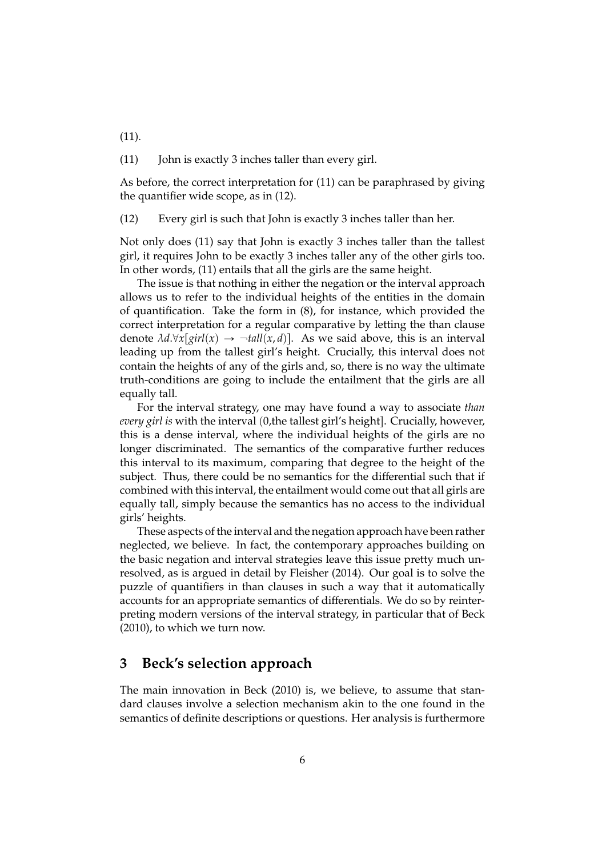(11) John is exactly 3 inches taller than every girl.

As before, the correct interpretation for (11) can be paraphrased by giving the quantifier wide scope, as in (12).

(12) Every girl is such that John is exactly 3 inches taller than her.

Not only does (11) say that John is exactly 3 inches taller than the tallest girl, it requires John to be exactly 3 inches taller any of the other girls too. In other words, (11) entails that all the girls are the same height.

The issue is that nothing in either the negation or the interval approach allows us to refer to the individual heights of the entities in the domain of quantification. Take the form in (8), for instance, which provided the correct interpretation for a regular comparative by letting the than clause denote  $\lambda d.\forall x[girl(x) \rightarrow \neg tall(x,d)]$ . As we said above, this is an interval leading up from the tallest girl's height. Crucially, this interval does not contain the heights of any of the girls and, so, there is no way the ultimate truth-conditions are going to include the entailment that the girls are all equally tall.

For the interval strategy, one may have found a way to associate *than every girl is* with the interval (0,the tallest girl's height]. Crucially, however, this is a dense interval, where the individual heights of the girls are no longer discriminated. The semantics of the comparative further reduces this interval to its maximum, comparing that degree to the height of the subject. Thus, there could be no semantics for the differential such that if combined with this interval, the entailment would come out that all girls are equally tall, simply because the semantics has no access to the individual girls' heights.

These aspects of the interval and the negation approach have been rather neglected, we believe. In fact, the contemporary approaches building on the basic negation and interval strategies leave this issue pretty much unresolved, as is argued in detail by Fleisher (2014). Our goal is to solve the puzzle of quantifiers in than clauses in such a way that it automatically accounts for an appropriate semantics of differentials. We do so by reinterpreting modern versions of the interval strategy, in particular that of Beck (2010), to which we turn now.

# **3 Beck's selection approach**

The main innovation in Beck (2010) is, we believe, to assume that standard clauses involve a selection mechanism akin to the one found in the semantics of definite descriptions or questions. Her analysis is furthermore

(11).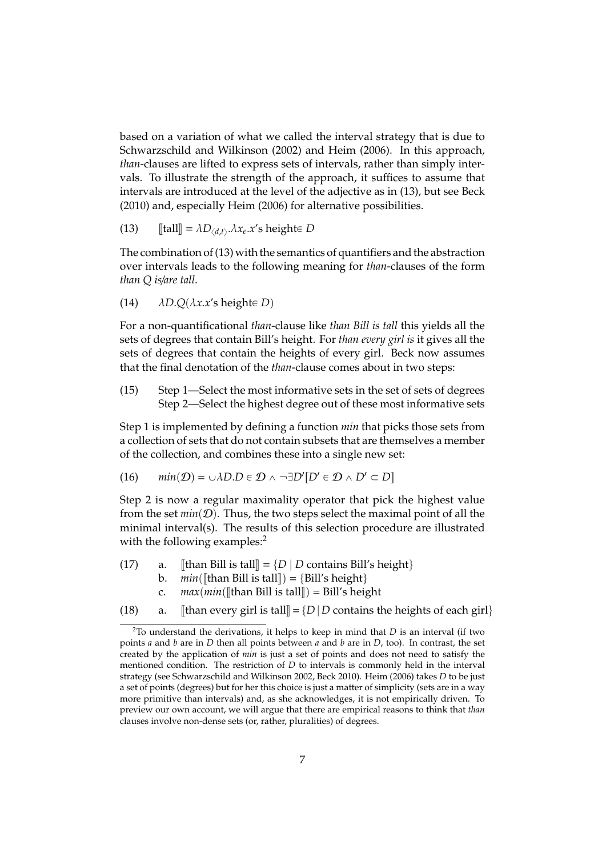based on a variation of what we called the interval strategy that is due to Schwarzschild and Wilkinson (2002) and Heim (2006). In this approach, *than*-clauses are lifted to express sets of intervals, rather than simply intervals. To illustrate the strength of the approach, it suffices to assume that intervals are introduced at the level of the adjective as in (13), but see Beck (2010) and, especially Heim (2006) for alternative possibilities.

(13)  $\llbracket \text{tall} \rrbracket = \lambda D_{\langle d,t \rangle} \cdot \lambda x_e \cdot x' \text{s height} \in D$ 

The combination of (13) with the semantics of quantifiers and the abstraction over intervals leads to the following meaning for *than*-clauses of the form *than Q is*/*are tall*.

(14) 
$$
\triangle D.Q(\lambda x.x's height \in D)
$$

For a non-quantificational *than*-clause like *than Bill is tall* this yields all the sets of degrees that contain Bill's height. For *than every girl is* it gives all the sets of degrees that contain the heights of every girl. Beck now assumes that the final denotation of the *than*-clause comes about in two steps:

(15) Step 1—Select the most informative sets in the set of sets of degrees Step 2—Select the highest degree out of these most informative sets

Step 1 is implemented by defining a function *min* that picks those sets from a collection of sets that do not contain subsets that are themselves a member of the collection, and combines these into a single new set:

(16) 
$$
min(D) = \cup \lambda D \in D \land \neg \exists D'[D' \in D \land D' \subset D]
$$

Step 2 is now a regular maximality operator that pick the highest value from the set  $min(D)$ . Thus, the two steps select the maximal point of all the minimal interval(s). The results of this selection procedure are illustrated with the following examples:<sup>2</sup>

- (17) a. [[than Bill is tall] =  $\{D \mid D \text{ contains } Bill's \text{ height}\}$ <br>b.  $min(\text{If} \text{than } Bill \text{ is } tall \text{]) = \{Bill's \text{ height}\}$ 
	- b. *min*([than Bill is tall]) = {Bill's height}<br>c.  $max(min(\text{[than Bill is tall]}) = \text{Bill's height})$ 
		- c.  $max(min([\text{than Bill is tall}]) = \text{Bill's height})$ <br>a.  $[\text{than every girl is tall}] = {D \mid D}$  contains the
- (18) a. [than every girl is tall] =  $\{D \mid D$  contains the heights of each girl $\}$

<sup>2</sup>To understand the derivations, it helps to keep in mind that *D* is an interval (if two points *a* and *b* are in *D* then all points between *a* and *b* are in *D*, too). In contrast, the set created by the application of *min* is just a set of points and does not need to satisfy the mentioned condition. The restriction of *D* to intervals is commonly held in the interval strategy (see Schwarzschild and Wilkinson 2002, Beck 2010). Heim (2006) takes *D* to be just a set of points (degrees) but for her this choice is just a matter of simplicity (sets are in a way more primitive than intervals) and, as she acknowledges, it is not empirically driven. To preview our own account, we will argue that there are empirical reasons to think that *than* clauses involve non-dense sets (or, rather, pluralities) of degrees.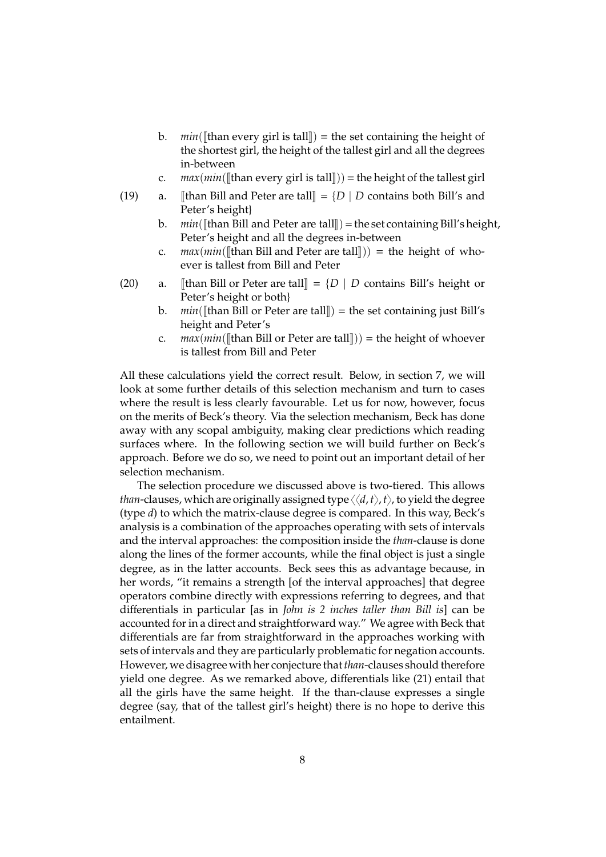- b. *min*([than every girl is tall]] = the set containing the height of the shortest girl, the height of the tallest girl and all the degrees in-between
- c. *max*(*min*([than every girl is tall])) = the height of the tallest girl a. [than Bill and Peter are tall] =  ${D \mid D}$  contains both Bill's and
- (19) a.  $\Vert$ than Bill and Peter are tall $\Vert = \{D \mid D \text{ contains both Bill's and }$ Peter's height}
	- b. *min*( $\left[\left[\text{than Bill and Peter are tall}\right]\right) = \text{the set containing Bill's height, }$ Peter's height and all the degrees in-between
	- c.  $max(min([\text{than Bill and Peter are tall}])) =$  the height of whoever is tallest from Bill and Peter
- (20) a. [than Bill or Peter are tall] =  $\{D \mid D$  contains Bill's height or Peter's height or both}
	- b. *min*( $[$ than Bill or Peter are tall $]$ ) = the set containing just Bill's height and Peter's
	- c. *max* $(min([than Bill or Peter are tall])) = the height of whosever$ is tallest from Bill and Peter

All these calculations yield the correct result. Below, in section 7, we will look at some further details of this selection mechanism and turn to cases where the result is less clearly favourable. Let us for now, however, focus on the merits of Beck's theory. Via the selection mechanism, Beck has done away with any scopal ambiguity, making clear predictions which reading surfaces where. In the following section we will build further on Beck's approach. Before we do so, we need to point out an important detail of her selection mechanism.

The selection procedure we discussed above is two-tiered. This allows *than*-clauses, which are originally assigned type  $\langle \langle d, t \rangle, t \rangle$ , to yield the degree (type *d*) to which the matrix-clause degree is compared. In this way, Beck's analysis is a combination of the approaches operating with sets of intervals and the interval approaches: the composition inside the *than*-clause is done along the lines of the former accounts, while the final object is just a single degree, as in the latter accounts. Beck sees this as advantage because, in her words, "it remains a strength [of the interval approaches] that degree operators combine directly with expressions referring to degrees, and that differentials in particular [as in *John is 2 inches taller than Bill is*] can be accounted for in a direct and straightforward way." We agree with Beck that differentials are far from straightforward in the approaches working with sets of intervals and they are particularly problematic for negation accounts. However, we disagree with her conjecture that*than*-clauses should therefore yield one degree. As we remarked above, differentials like (21) entail that all the girls have the same height. If the than-clause expresses a single degree (say, that of the tallest girl's height) there is no hope to derive this entailment.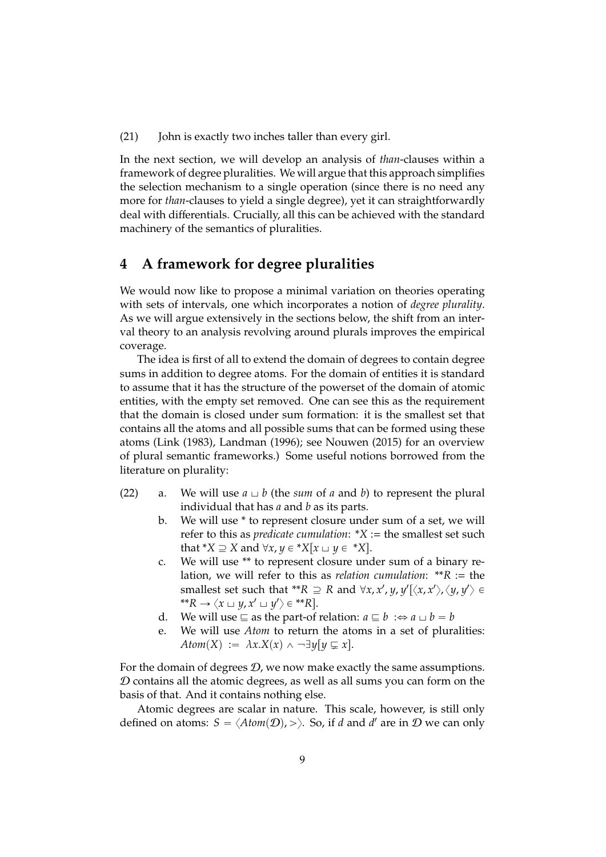(21) John is exactly two inches taller than every girl.

In the next section, we will develop an analysis of *than*-clauses within a framework of degree pluralities. We will argue that this approach simplifies the selection mechanism to a single operation (since there is no need any more for *than*-clauses to yield a single degree), yet it can straightforwardly deal with differentials. Crucially, all this can be achieved with the standard machinery of the semantics of pluralities.

# **4 A framework for degree pluralities**

We would now like to propose a minimal variation on theories operating with sets of intervals, one which incorporates a notion of *degree plurality*. As we will argue extensively in the sections below, the shift from an interval theory to an analysis revolving around plurals improves the empirical coverage.

The idea is first of all to extend the domain of degrees to contain degree sums in addition to degree atoms. For the domain of entities it is standard to assume that it has the structure of the powerset of the domain of atomic entities, with the empty set removed. One can see this as the requirement that the domain is closed under sum formation: it is the smallest set that contains all the atoms and all possible sums that can be formed using these atoms (Link (1983), Landman (1996); see Nouwen (2015) for an overview of plural semantic frameworks.) Some useful notions borrowed from the literature on plurality:

- (22) a. We will use  $a \sqcup b$  (the *sum* of *a* and *b*) to represent the plural individual that has *a* and *b* as its parts.
	- b. We will use \* to represent closure under sum of a set, we will refer to this as *predicate cumulation*: \**X* := the smallest set such that  $*X \supseteq X$  and  $\forall x, y \in *X[x \cup y \in *X]$ .
	- c. We will use \*\* to represent closure under sum of a binary relation, we will refer to this as *relation cumulation*: \*\**R* := the smallest set such that \*\* $R \supseteq R$  and  $\forall x, x', y, y'[\langle x, x' \rangle, \langle y, y' \rangle \in$  $f^*R \to \langle x \sqcup y, x' \sqcup y' \rangle \in {}^{**}R$ .
	- d. We will use  $\subseteq$  as the part-of relation:  $a \sqsubseteq b : \Leftrightarrow a \sqcup b = b$
	- e. We will use *Atom* to return the atoms in a set of pluralities: *Atom*(*X*) :=  $\lambda x.X(x) \wedge \neg \exists y[y \subsetneq x]$ .

For the domain of degrees  $D$ , we now make exactly the same assumptions.  $D$  contains all the atomic degrees, as well as all sums you can form on the basis of that. And it contains nothing else.

Atomic degrees are scalar in nature. This scale, however, is still only defined on atoms:  $S = \langle Atom(\mathcal{D}), \rangle$ . So, if *d* and *d'* are in  $\mathcal D$  we can only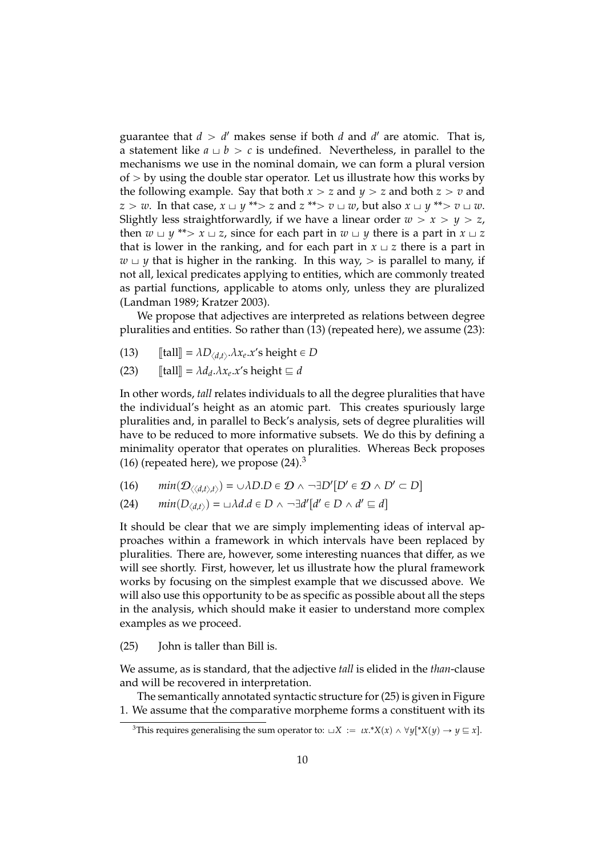guarantee that  $d > d'$  makes sense if both  $d$  and  $d'$  are atomic. That is, a statement like  $a \perp b > c$  is undefined. Nevertheless, in parallel to the mechanisms we use in the nominal domain, we can form a plural version of  $>$  by using the double star operator. Let us illustrate how this works by the following example. Say that both  $x > z$  and  $y > z$  and both  $z > v$  and  $z > w$ . In that case,  $x \sqcup y$  \*\* $> z$  and  $z$  \*\* $> v \sqcup w$ , but also  $x \sqcup y$  \*\* $> v \sqcup w$ . Slightly less straightforwardly, if we have a linear order  $w > x > y > z$ , then  $w \sqcup y$  \*\* $> x \sqcup z$ , since for each part in  $w \sqcup y$  there is a part in  $x \sqcup z$ that is lower in the ranking, and for each part in  $x \perp z$  there is a part in  $w \cup y$  that is higher in the ranking. In this way,  $>$  is parallel to many, if not all, lexical predicates applying to entities, which are commonly treated as partial functions, applicable to atoms only, unless they are pluralized (Landman 1989; Kratzer 2003).

We propose that adjectives are interpreted as relations between degree pluralities and entities. So rather than (13) (repeated here), we assume (23):

- (13)  $\llbracket \text{tall} \rrbracket = \lambda D_{\langle d,t \rangle}.\lambda x_e.x' \text{s height} \in D$
- $\text{[tall]} = \lambda d_d \cdot \lambda x_e \cdot x$ 's height  $\sqsubseteq d$

In other words, *tall* relates individuals to all the degree pluralities that have the individual's height as an atomic part. This creates spuriously large pluralities and, in parallel to Beck's analysis, sets of degree pluralities will have to be reduced to more informative subsets. We do this by defining a minimality operator that operates on pluralities. Whereas Beck proposes (16) (repeated here), we propose  $(24)$ .<sup>3</sup>

- (16)  $min(D_{\langle\langle d,t\rangle,t\rangle}) = \cup \lambda D \cdot D \in \mathcal{D} \land \neg \exists D'[D' \in \mathcal{D} \land D' \subset D]$
- (24)  $min(D_{\langle d,t \rangle}) = \cup \lambda d.d \in D \wedge \neg \exists d'[d' \in D \wedge d' \sqsubseteq d]$

It should be clear that we are simply implementing ideas of interval approaches within a framework in which intervals have been replaced by pluralities. There are, however, some interesting nuances that differ, as we will see shortly. First, however, let us illustrate how the plural framework works by focusing on the simplest example that we discussed above. We will also use this opportunity to be as specific as possible about all the steps in the analysis, which should make it easier to understand more complex examples as we proceed.

(25) John is taller than Bill is.

We assume, as is standard, that the adjective *tall* is elided in the *than*-clause and will be recovered in interpretation.

The semantically annotated syntactic structure for (25) is given in Figure 1. We assume that the comparative morpheme forms a constituent with its

<sup>&</sup>lt;sup>3</sup>This requires generalising the sum operator to:  $\Box X := \iota x.*X(x) \land \forall y[*X(y) \rightarrow y \sqsubseteq x]$ .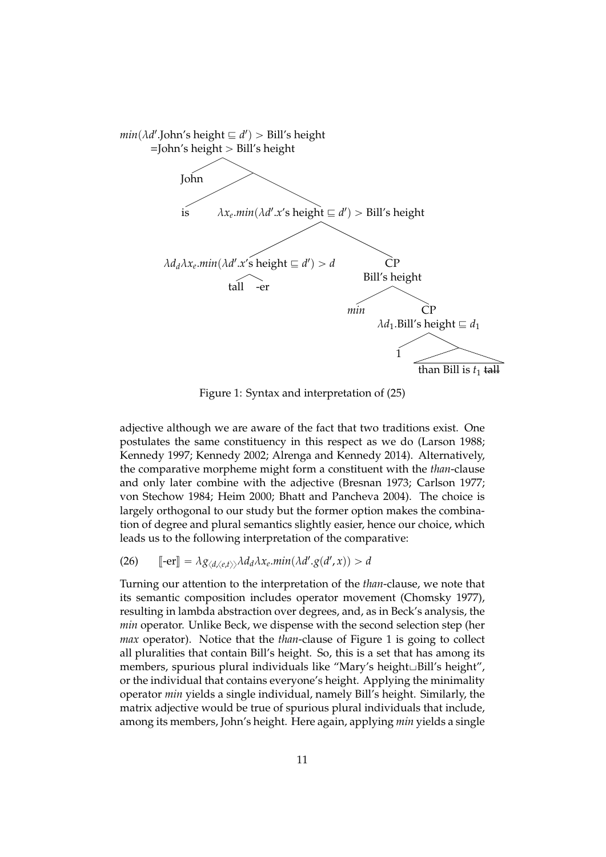

Figure 1: Syntax and interpretation of (25)

adjective although we are aware of the fact that two traditions exist. One postulates the same constituency in this respect as we do (Larson 1988; Kennedy 1997; Kennedy 2002; Alrenga and Kennedy 2014). Alternatively, the comparative morpheme might form a constituent with the *than*-clause and only later combine with the adjective (Bresnan 1973; Carlson 1977; von Stechow 1984; Heim 2000; Bhatt and Pancheva 2004). The choice is largely orthogonal to our study but the former option makes the combination of degree and plural semantics slightly easier, hence our choice, which leads us to the following interpretation of the comparative:

(26)  $\left[ \text{-er} \right] = \lambda g_{\langle d, \langle e, t \rangle \rangle} \lambda d_d \lambda x_e \text{.} \min(\lambda d' \cdot g(d', x)) > d$ 

Turning our attention to the interpretation of the *than*-clause, we note that its semantic composition includes operator movement (Chomsky 1977), resulting in lambda abstraction over degrees, and, as in Beck's analysis, the *min* operator. Unlike Beck, we dispense with the second selection step (her *max* operator). Notice that the *than*-clause of Figure 1 is going to collect all pluralities that contain Bill's height. So, this is a set that has among its members, spurious plural individuals like "Mary's height∟Bill's height", or the individual that contains everyone's height. Applying the minimality operator *min* yields a single individual, namely Bill's height. Similarly, the matrix adjective would be true of spurious plural individuals that include, among its members, John's height. Here again, applying *min* yields a single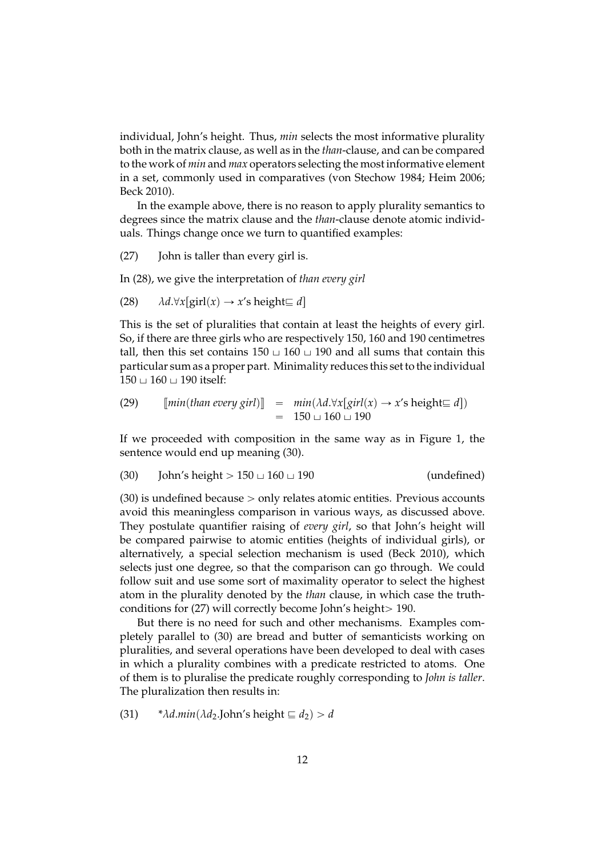individual, John's height. Thus, *min* selects the most informative plurality both in the matrix clause, as well as in the *than*-clause, and can be compared to the work of *min* and *max* operators selecting the most informative element in a set, commonly used in comparatives (von Stechow 1984; Heim 2006; Beck 2010).

In the example above, there is no reason to apply plurality semantics to degrees since the matrix clause and the *than*-clause denote atomic individuals. Things change once we turn to quantified examples:

(27) John is taller than every girl is.

In (28), we give the interpretation of *than every girl*

(28) 
$$
\lambda d.\forall x[\text{girl}(x) \rightarrow x'\text{s height} \sqsubseteq d]
$$

This is the set of pluralities that contain at least the heights of every girl. So, if there are three girls who are respectively 150, 160 and 190 centimetres tall, then this set contains  $150 \cup 160 \cup 190$  and all sums that contain this particular sum as a proper part. Minimality reduces this set to the individual  $150 \cup 160 \cup 190$  itself:

(29) 
$$
[\text{min}(\text{than every girl})] = \text{min}(\lambda d.\forall x[\text{ girl}(x) \rightarrow x's \text{ height} \sqsubseteq d])
$$

$$
= 150 \sqcup 160 \sqcup 190
$$

If we proceeded with composition in the same way as in Figure 1, the sentence would end up meaning (30).

$$
(30) \t John's height > 150 \cup 160 \cup 190 \t (undefined)
$$

 $(30)$  is undefined because  $>$  only relates atomic entities. Previous accounts avoid this meaningless comparison in various ways, as discussed above. They postulate quantifier raising of *every girl*, so that John's height will be compared pairwise to atomic entities (heights of individual girls), or alternatively, a special selection mechanism is used (Beck 2010), which selects just one degree, so that the comparison can go through. We could follow suit and use some sort of maximality operator to select the highest atom in the plurality denoted by the *than* clause, in which case the truthconditions for  $(27)$  will correctly become John's height > 190.

But there is no need for such and other mechanisms. Examples completely parallel to (30) are bread and butter of semanticists working on pluralities, and several operations have been developed to deal with cases in which a plurality combines with a predicate restricted to atoms. One of them is to pluralise the predicate roughly corresponding to *John is taller*. The pluralization then results in:

(31)  $* \lambda d.min(\lambda d_2$ .John's height  $\subseteq d_2$ ) > *d*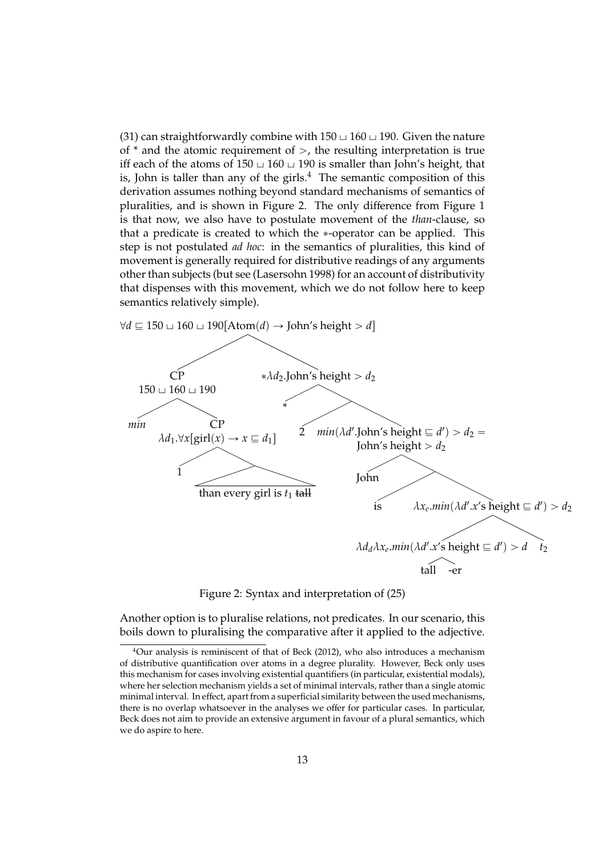(31) can straightforwardly combine with  $150 \sqcup 160 \sqcup 190$ . Given the nature of  $*$  and the atomic requirement of  $>$ , the resulting interpretation is true iff each of the atoms of  $150 \cup 160 \cup 190$  is smaller than John's height, that is, John is taller than any of the girls.<sup>4</sup> The semantic composition of this derivation assumes nothing beyond standard mechanisms of semantics of pluralities, and is shown in Figure 2. The only difference from Figure 1 is that now, we also have to postulate movement of the *than*-clause, so that a predicate is created to which the \*-operator can be applied. This step is not postulated *ad hoc*: in the semantics of pluralities, this kind of movement is generally required for distributive readings of any arguments other than subjects (but see (Lasersohn 1998) for an account of distributivity that dispenses with this movement, which we do not follow here to keep semantics relatively simple).



Figure 2: Syntax and interpretation of (25)

Another option is to pluralise relations, not predicates. In our scenario, this boils down to pluralising the comparative after it applied to the adjective.

 $4$ Our analysis is reminiscent of that of Beck (2012), who also introduces a mechanism of distributive quantification over atoms in a degree plurality. However, Beck only uses this mechanism for cases involving existential quantifiers (in particular, existential modals), where her selection mechanism yields a set of minimal intervals, rather than a single atomic minimal interval. In effect, apart from a superficial similarity between the used mechanisms, there is no overlap whatsoever in the analyses we offer for particular cases. In particular, Beck does not aim to provide an extensive argument in favour of a plural semantics, which we do aspire to here.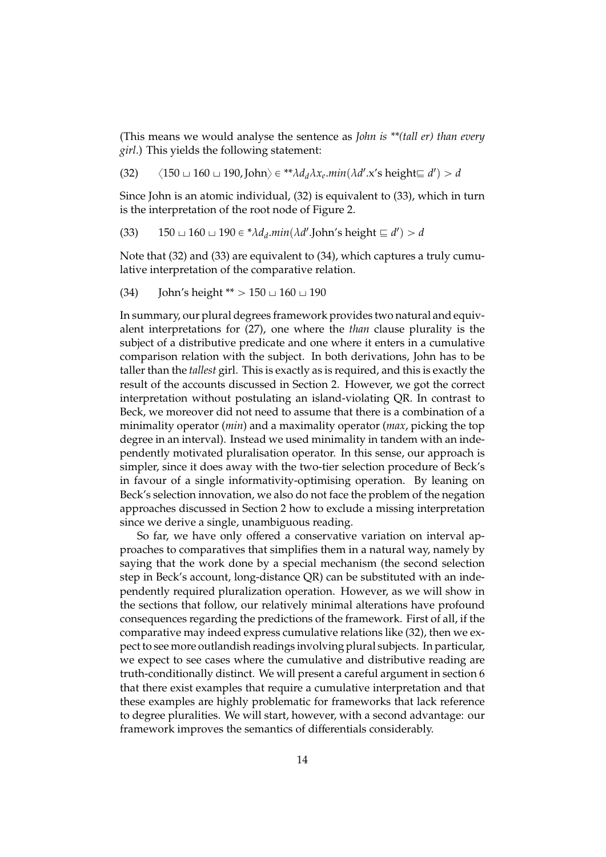(This means we would analyse the sentence as *John is \*\*(tall er) than every girl*.) This yields the following statement:

(32)  $\langle 150 \cup 160 \cup 190, \text{John} \rangle \in {}^{**} \lambda d_d \lambda x_e \text{.} \min(\lambda d' . x' \text{s height} \equiv d') > d$ 

Since John is an atomic individual, (32) is equivalent to (33), which in turn is the interpretation of the root node of Figure 2.

(33) 
$$
150 \sqcup 160 \sqcup 190 \in {}^*\lambda d_d.min(\lambda d'.John's height \sqsubseteq d') > d
$$

Note that (32) and (33) are equivalent to (34), which captures a truly cumulative interpretation of the comparative relation.

(34) John's height \*\* 
$$
> 150 \cup 160 \cup 190
$$

In summary, our plural degrees framework provides two natural and equivalent interpretations for (27), one where the *than* clause plurality is the subject of a distributive predicate and one where it enters in a cumulative comparison relation with the subject. In both derivations, John has to be taller than the *tallest* girl. This is exactly as is required, and this is exactly the result of the accounts discussed in Section 2. However, we got the correct interpretation without postulating an island-violating QR. In contrast to Beck, we moreover did not need to assume that there is a combination of a minimality operator (*min*) and a maximality operator (*max*, picking the top degree in an interval). Instead we used minimality in tandem with an independently motivated pluralisation operator. In this sense, our approach is simpler, since it does away with the two-tier selection procedure of Beck's in favour of a single informativity-optimising operation. By leaning on Beck's selection innovation, we also do not face the problem of the negation approaches discussed in Section 2 how to exclude a missing interpretation since we derive a single, unambiguous reading.

So far, we have only offered a conservative variation on interval approaches to comparatives that simplifies them in a natural way, namely by saying that the work done by a special mechanism (the second selection step in Beck's account, long-distance QR) can be substituted with an independently required pluralization operation. However, as we will show in the sections that follow, our relatively minimal alterations have profound consequences regarding the predictions of the framework. First of all, if the comparative may indeed express cumulative relations like (32), then we expect to see more outlandish readings involving plural subjects. In particular, we expect to see cases where the cumulative and distributive reading are truth-conditionally distinct. We will present a careful argument in section 6 that there exist examples that require a cumulative interpretation and that these examples are highly problematic for frameworks that lack reference to degree pluralities. We will start, however, with a second advantage: our framework improves the semantics of differentials considerably.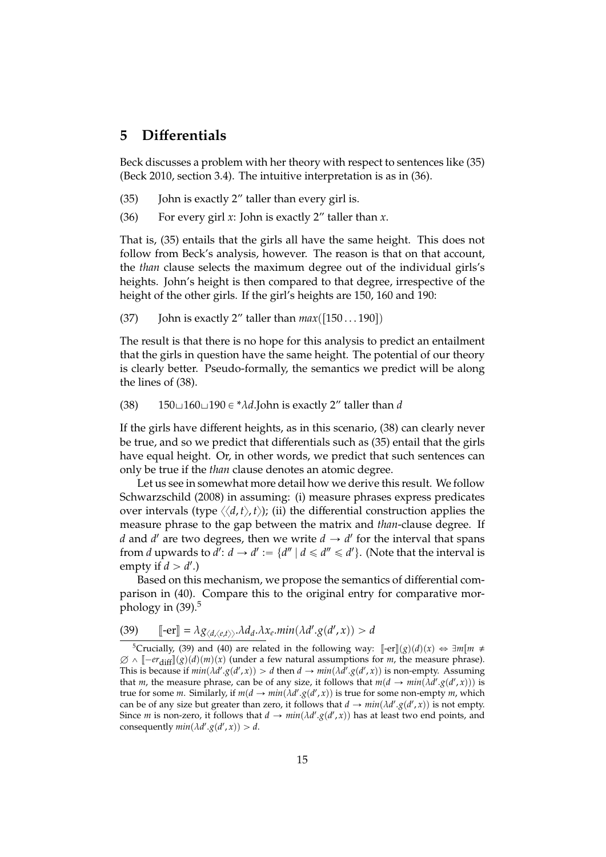### **5 Di**ff**erentials**

Beck discusses a problem with her theory with respect to sentences like (35) (Beck 2010, section 3.4). The intuitive interpretation is as in (36).

- (35) John is exactly 2" taller than every girl is.
- (36) For every girl *x*: John is exactly 2" taller than *x*.

That is, (35) entails that the girls all have the same height. This does not follow from Beck's analysis, however. The reason is that on that account, the *than* clause selects the maximum degree out of the individual girls's heights. John's height is then compared to that degree, irrespective of the height of the other girls. If the girl's heights are 150, 160 and 190:

(37) John is exactly 2" taller than  $max([150...190])$ 

The result is that there is no hope for this analysis to predict an entailment that the girls in question have the same height. The potential of our theory is clearly better. Pseudo-formally, the semantics we predict will be along the lines of (38).

(38)  $150\text{ }160\text{ }190 \in {}^* \lambda d$ .John is exactly 2" taller than *d* 

If the girls have different heights, as in this scenario, (38) can clearly never be true, and so we predict that differentials such as (35) entail that the girls have equal height. Or, in other words, we predict that such sentences can only be true if the *than* clause denotes an atomic degree.

Let us see in somewhat more detail how we derive this result. We follow Schwarzschild (2008) in assuming: (i) measure phrases express predicates over intervals (type  $\langle \langle d, t \rangle, t \rangle$ ); (ii) the differential construction applies the measure phrase to the gap between the matrix and *than*-clause degree. If *d* and *d'* are two degrees, then we write  $d \rightarrow d'$  for the interval that spans from *d* upwards to  $d'$ :  $d \rightarrow d' := \{d'' \mid d \leq d'' \leq d'\}$ . (Note that the interval is empty if  $d > d'$ .)

Based on this mechanism, we propose the semantics of differential comparison in (40). Compare this to the original entry for comparative morphology in  $(39)$ .<sup>5</sup>

$$
\underbrace{(39)} \qquad \lbrack \lbrack \mathbf{-er} \rbrack \rbrack = \lambda g_{\langle d, \langle e, t \rangle \rangle} \cdot \lambda d_d \cdot \lambda x_e \cdot min(\lambda d'.g(d', x)) > d
$$

<sup>&</sup>lt;sup>5</sup>Crucially, (39) and (40) are related in the following way:  $[-er](g)(d)(x) \Leftrightarrow \exists m[m \neq$  $\emptyset \wedge [-er_{diff}](g)(d)(m)(x)$  (under a few natural assumptions for *m*, the measure phrase).<br>This is because if win( $\lambda d' \circ (d' \times)$ ) > d then d  $\lambda$  win( $\lambda d' \circ (d' \times)$ ) is non-empty-Assuming This is because if  $min(\lambda d'.g(d', x)) > d$  then  $d \rightarrow min(\lambda d'.g(d', x))$  is non-empty. Assuming that *m*, the measure phrase, can be of any size, it follows that  $m(d \rightarrow min(\lambda d'.g(d', x)))$  is true for some *m*. Similarly, if  $m(d \rightarrow min(\lambda d'.g(d', x))$  is true for some non-empty *m*, which can be of any size but greater than zero, it follows that  $d \rightarrow min(\lambda d'.g(d',x))$  is not empty. Since *m* is non-zero, it follows that  $d \rightarrow min(\lambda d'.g(d',x))$  has at least two end points, and consequently  $min(\lambda d'.g(d',x)) > d$ .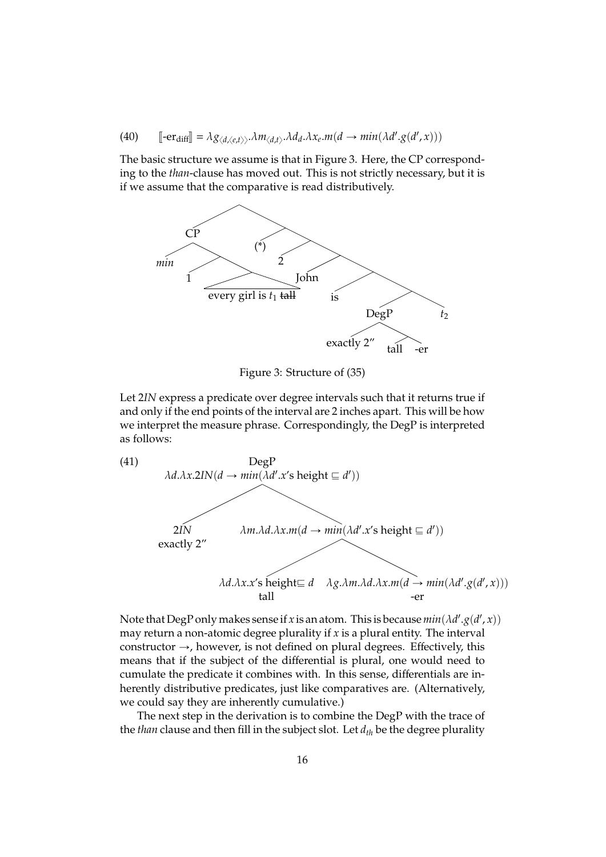(40)  $\left[ -er_{diff} \right] = \lambda g_{\langle d, \langle e, t \rangle \rangle} \cdot \lambda m_{\langle d, t \rangle} \cdot \lambda d_d \cdot \lambda x_e \cdot m(d \rightarrow min(\lambda d' \cdot g(d', x)))$ 

The basic structure we assume is that in Figure 3. Here, the CP corresponding to the *than*-clause has moved out. This is not strictly necessary, but it is if we assume that the comparative is read distributively.



Figure 3: Structure of (35)

Let 2*IN* express a predicate over degree intervals such that it returns true if and only if the end points of the interval are 2 inches apart. This will be how we interpret the measure phrase. Correspondingly, the DegP is interpreted as follows:



Note that DegP only makes sense if *x* is an atom. This is because  $min(\lambda d'.g(d', x))$ may return a non-atomic degree plurality if *x* is a plural entity. The interval constructor  $\rightarrow$ , however, is not defined on plural degrees. Effectively, this means that if the subject of the differential is plural, one would need to cumulate the predicate it combines with. In this sense, differentials are inherently distributive predicates, just like comparatives are. (Alternatively, we could say they are inherently cumulative.)

The next step in the derivation is to combine the DegP with the trace of the *than* clause and then fill in the subject slot. Let *dth* be the degree plurality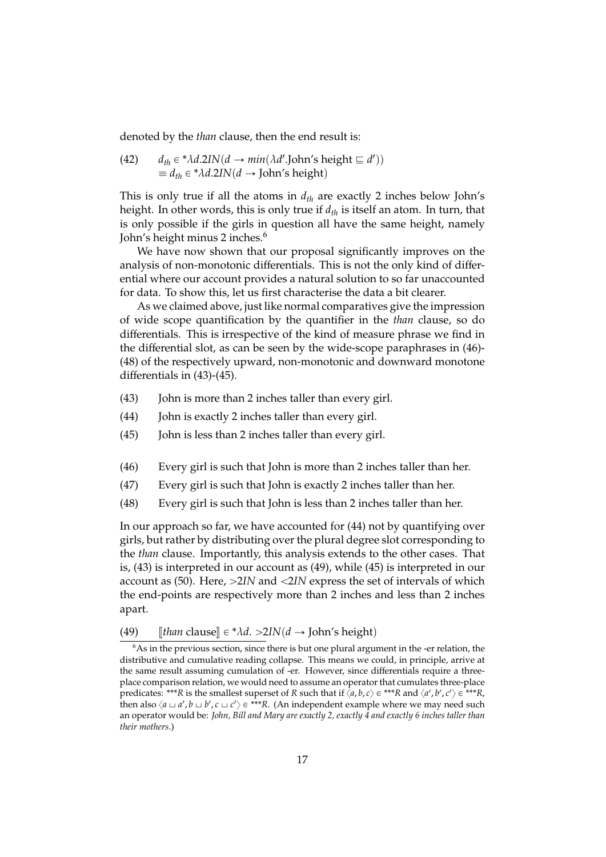denoted by the *than* clause, then the end result is:

(42) 
$$
d_{th} \in {}^* \lambda d.2IN(d \rightarrow min(\lambda d'.John's height \sqsubseteq d'))
$$

$$
\equiv d_{th} \in {}^* \lambda d.2IN(d \rightarrow John's height)
$$

This is only true if all the atoms in *dth* are exactly 2 inches below John's height. In other words, this is only true if *dth* is itself an atom. In turn, that is only possible if the girls in question all have the same height, namely John's height minus 2 inches.<sup>6</sup>

We have now shown that our proposal significantly improves on the analysis of non-monotonic differentials. This is not the only kind of differential where our account provides a natural solution to so far unaccounted for data. To show this, let us first characterise the data a bit clearer.

As we claimed above, just like normal comparatives give the impression of wide scope quantification by the quantifier in the *than* clause, so do differentials. This is irrespective of the kind of measure phrase we find in the differential slot, as can be seen by the wide-scope paraphrases in (46)- (48) of the respectively upward, non-monotonic and downward monotone differentials in (43)-(45).

- (43) John is more than 2 inches taller than every girl.
- (44) John is exactly 2 inches taller than every girl.
- (45) John is less than 2 inches taller than every girl.
- (46) Every girl is such that John is more than 2 inches taller than her.
- (47) Every girl is such that John is exactly 2 inches taller than her.
- (48) Every girl is such that John is less than 2 inches taller than her.

In our approach so far, we have accounted for (44) not by quantifying over girls, but rather by distributing over the plural degree slot corresponding to the *than* clause. Importantly, this analysis extends to the other cases. That is, (43) is interpreted in our account as (49), while (45) is interpreted in our account as (50). Here,  $>21N$  and  $<21N$  express the set of intervals of which the end-points are respectively more than 2 inches and less than 2 inches apart.

(49)  $[than \text{ clause}] \in \mathcal{A}d. >2IN(d \rightarrow \text{John's height})$ 

 $6$ As in the previous section, since there is but one plural argument in the -er relation, the distributive and cumulative reading collapse. This means we could, in principle, arrive at the same result assuming cumulation of -er. However, since differentials require a threeplace comparison relation, we would need to assume an operator that cumulates three-place predicates: \*\*\**R* is the smallest superset of *R* such that if  $\langle a,b,c\rangle \in$  \*\*\**R* and  $\langle a',b',c'\rangle \in$  \*\*\**R*, then also  $\langle a \sqcup a', b \sqcup b', c \sqcup c' \rangle \in ***R$ . (An independent example where we may need such an operator would be: *John, Bill and Mary are exactly 2, exactly 4 and exactly 6 inches taller than their mothers*.)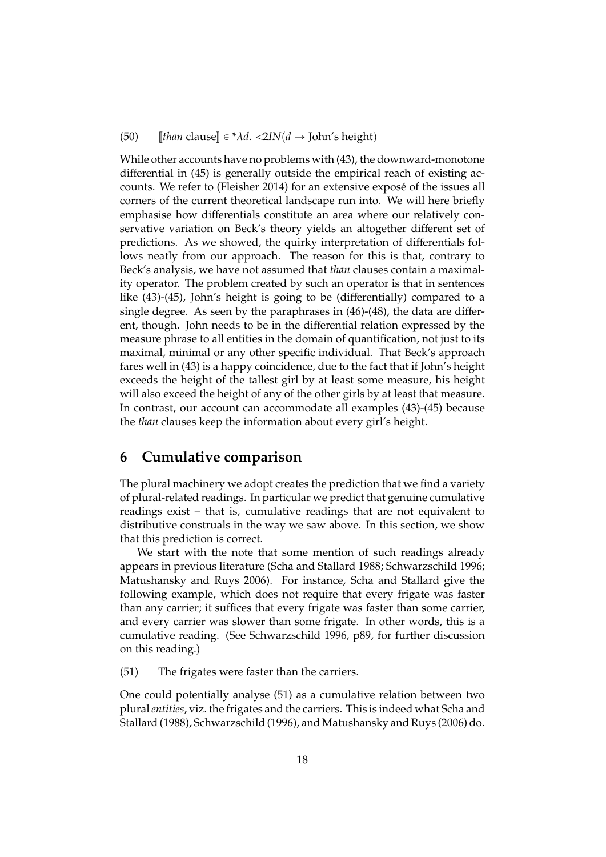#### (50)  $\llbracket$ *than* clause $\rrbracket \in {}^*\lambda d$ .  $\langle 2IN(d \rightarrow John's height \rangle)$

While other accounts have no problems with (43), the downward-monotone differential in (45) is generally outside the empirical reach of existing accounts. We refer to (Fleisher 2014) for an extensive expose of the issues all ´ corners of the current theoretical landscape run into. We will here briefly emphasise how differentials constitute an area where our relatively conservative variation on Beck's theory yields an altogether different set of predictions. As we showed, the quirky interpretation of differentials follows neatly from our approach. The reason for this is that, contrary to Beck's analysis, we have not assumed that *than* clauses contain a maximality operator. The problem created by such an operator is that in sentences like (43)-(45), John's height is going to be (differentially) compared to a single degree. As seen by the paraphrases in (46)-(48), the data are different, though. John needs to be in the differential relation expressed by the measure phrase to all entities in the domain of quantification, not just to its maximal, minimal or any other specific individual. That Beck's approach fares well in (43) is a happy coincidence, due to the fact that if John's height exceeds the height of the tallest girl by at least some measure, his height will also exceed the height of any of the other girls by at least that measure. In contrast, our account can accommodate all examples (43)-(45) because the *than* clauses keep the information about every girl's height.

### **6 Cumulative comparison**

The plural machinery we adopt creates the prediction that we find a variety of plural-related readings. In particular we predict that genuine cumulative readings exist – that is, cumulative readings that are not equivalent to distributive construals in the way we saw above. In this section, we show that this prediction is correct.

We start with the note that some mention of such readings already appears in previous literature (Scha and Stallard 1988; Schwarzschild 1996; Matushansky and Ruys 2006). For instance, Scha and Stallard give the following example, which does not require that every frigate was faster than any carrier; it suffices that every frigate was faster than some carrier, and every carrier was slower than some frigate. In other words, this is a cumulative reading. (See Schwarzschild 1996, p89, for further discussion on this reading.)

(51) The frigates were faster than the carriers.

One could potentially analyse (51) as a cumulative relation between two plural*entities*, viz. the frigates and the carriers. This is indeed what Scha and Stallard (1988), Schwarzschild (1996), and Matushansky and Ruys (2006) do.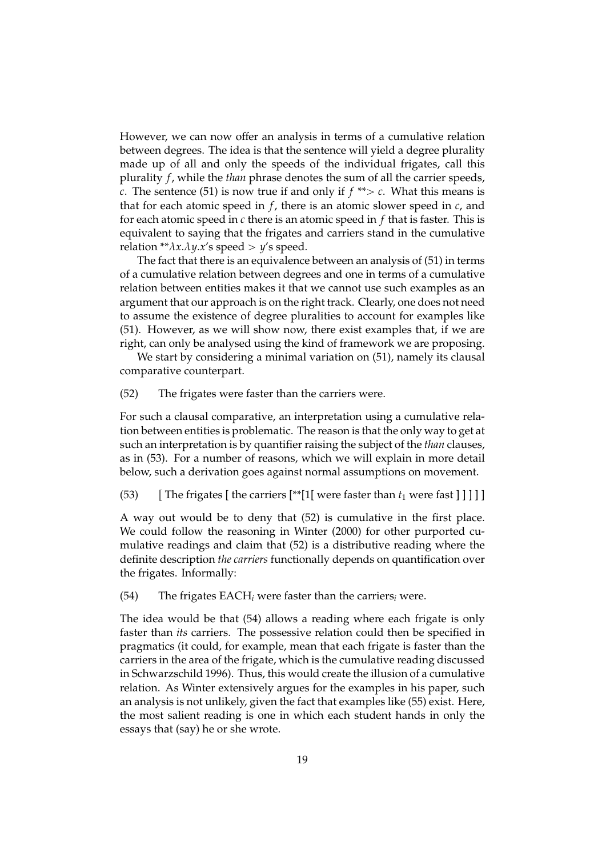However, we can now offer an analysis in terms of a cumulative relation between degrees. The idea is that the sentence will yield a degree plurality made up of all and only the speeds of the individual frigates, call this plurality *f*, while the *than* phrase denotes the sum of all the carrier speeds, *c*. The sentence (51) is now true if and only if  $f^{**} > c$ . What this means is that for each atomic speed in *f*, there is an atomic slower speed in *c*, and for each atomic speed in *c* there is an atomic speed in *f* that is faster. This is equivalent to saying that the frigates and carriers stand in the cumulative relation \*\* $\lambda x.\lambda y.x'$ s speed >  $y'$ s speed.

The fact that there is an equivalence between an analysis of (51) in terms of a cumulative relation between degrees and one in terms of a cumulative relation between entities makes it that we cannot use such examples as an argument that our approach is on the right track. Clearly, one does not need to assume the existence of degree pluralities to account for examples like (51). However, as we will show now, there exist examples that, if we are right, can only be analysed using the kind of framework we are proposing.

We start by considering a minimal variation on (51), namely its clausal comparative counterpart.

(52) The frigates were faster than the carriers were.

For such a clausal comparative, an interpretation using a cumulative relation between entities is problematic. The reason is that the only way to get at such an interpretation is by quantifier raising the subject of the *than* clauses, as in (53). For a number of reasons, which we will explain in more detail below, such a derivation goes against normal assumptions on movement.

(53) Fhe frigates [ the carriers  $[**[1]$  were faster than  $t_1$  were fast  $\text{]}$  ] ] ] ]

A way out would be to deny that (52) is cumulative in the first place. We could follow the reasoning in Winter (2000) for other purported cumulative readings and claim that (52) is a distributive reading where the definite description *the carriers* functionally depends on quantification over the frigates. Informally:

(54) The frigates EACH*<sup>i</sup>* were faster than the carriers*<sup>i</sup>* were.

The idea would be that (54) allows a reading where each frigate is only faster than *its* carriers. The possessive relation could then be specified in pragmatics (it could, for example, mean that each frigate is faster than the carriers in the area of the frigate, which is the cumulative reading discussed in Schwarzschild 1996). Thus, this would create the illusion of a cumulative relation. As Winter extensively argues for the examples in his paper, such an analysis is not unlikely, given the fact that examples like (55) exist. Here, the most salient reading is one in which each student hands in only the essays that (say) he or she wrote.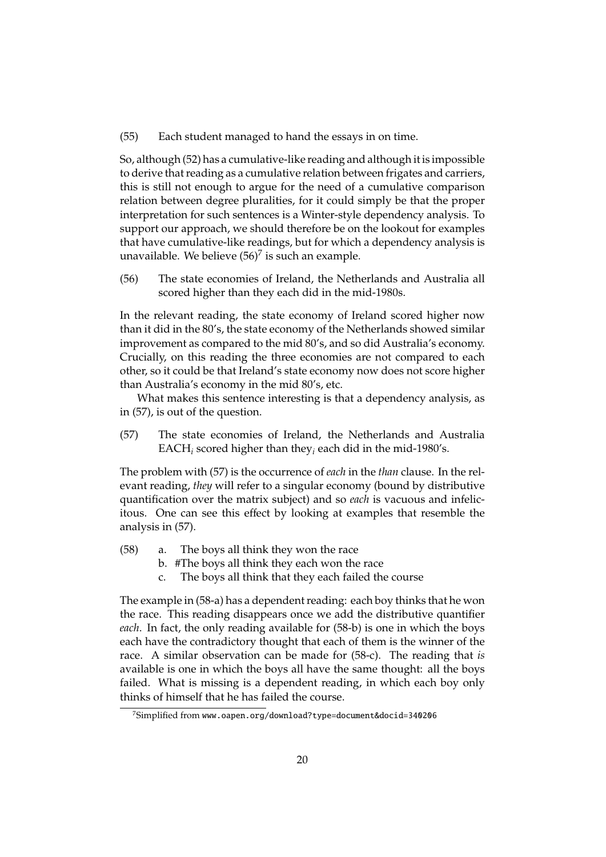#### (55) Each student managed to hand the essays in on time.

So, although (52) has a cumulative-like reading and although it is impossible to derive that reading as a cumulative relation between frigates and carriers, this is still not enough to argue for the need of a cumulative comparison relation between degree pluralities, for it could simply be that the proper interpretation for such sentences is a Winter-style dependency analysis. To support our approach, we should therefore be on the lookout for examples that have cumulative-like readings, but for which a dependency analysis is unavailable. We believe  $(56)^7$  is such an example.

(56) The state economies of Ireland, the Netherlands and Australia all scored higher than they each did in the mid-1980s.

In the relevant reading, the state economy of Ireland scored higher now than it did in the 80's, the state economy of the Netherlands showed similar improvement as compared to the mid 80's, and so did Australia's economy. Crucially, on this reading the three economies are not compared to each other, so it could be that Ireland's state economy now does not score higher than Australia's economy in the mid 80's, etc.

What makes this sentence interesting is that a dependency analysis, as in (57), is out of the question.

(57) The state economies of Ireland, the Netherlands and Australia EACH*<sup>i</sup>* scored higher than they*<sup>i</sup>* each did in the mid-1980's.

The problem with (57) is the occurrence of *each* in the *than* clause. In the relevant reading, *they* will refer to a singular economy (bound by distributive quantification over the matrix subject) and so *each* is vacuous and infelicitous. One can see this effect by looking at examples that resemble the analysis in (57).

- (58) a. The boys all think they won the race
	- b. #The boys all think they each won the race
	- c. The boys all think that they each failed the course

The example in (58-a) has a dependent reading: each boy thinks that he won the race. This reading disappears once we add the distributive quantifier *each*. In fact, the only reading available for (58-b) is one in which the boys each have the contradictory thought that each of them is the winner of the race. A similar observation can be made for (58-c). The reading that *is* available is one in which the boys all have the same thought: all the boys failed. What is missing is a dependent reading, in which each boy only thinks of himself that he has failed the course.

<sup>7</sup>Simplified from www.oapen.org/download?type=document&docid=340206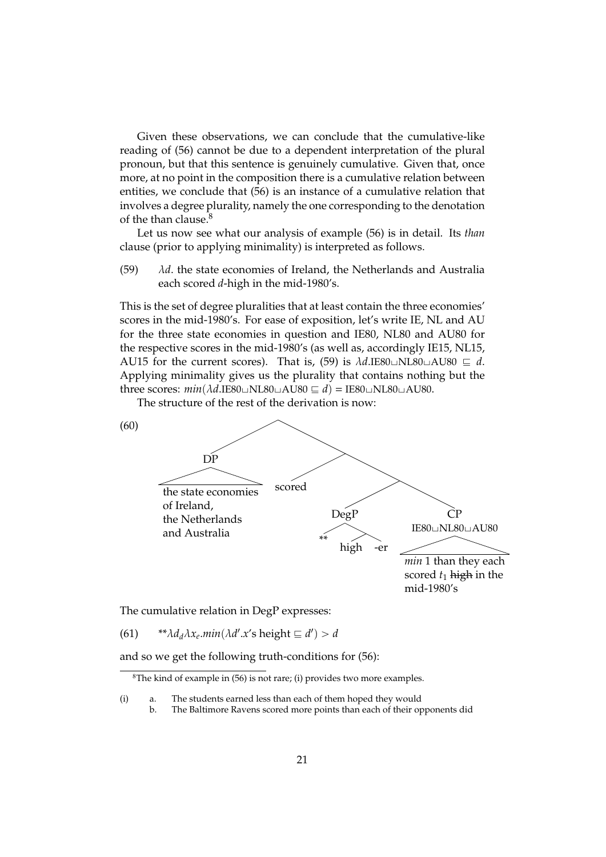Given these observations, we can conclude that the cumulative-like reading of (56) cannot be due to a dependent interpretation of the plural pronoun, but that this sentence is genuinely cumulative. Given that, once more, at no point in the composition there is a cumulative relation between entities, we conclude that (56) is an instance of a cumulative relation that involves a degree plurality, namely the one corresponding to the denotation of the than clause. $8$ 

Let us now see what our analysis of example (56) is in detail. Its *than* clause (prior to applying minimality) is interpreted as follows.

(59) λ*d*. the state economies of Ireland, the Netherlands and Australia each scored *d*-high in the mid-1980's.

This is the set of degree pluralities that at least contain the three economies' scores in the mid-1980's. For ease of exposition, let's write IE, NL and AU for the three state economies in question and IE80, NL80 and AU80 for the respective scores in the mid-1980's (as well as, accordingly IE15, NL15, AU15 for the current scores). That is, (59) is  $\lambda d$ .IE80 $\Box$ NL80 $\Box$ AU80  $\equiv d$ . Applying minimality gives us the plurality that contains nothing but the three scores:  $min(\lambda d$ .IE80 $\sqcup$ NL80 $\sqcup$ AU80  $\sqsubseteq d$ ) = IE80 $\sqcup$ NL80 $\sqcup$ AU80.

The structure of the rest of the derivation is now:



The cumulative relation in DegP expresses:

(61)  $**\lambda d_d \lambda x_e \text{.} \min(\lambda d' \text{.} x' \text{ s height} \sqsubseteq d') > d$ 

and so we get the following truth-conditions for (56):

<sup>&</sup>lt;sup>8</sup>The kind of example in  $(56)$  is not rare; (i) provides two more examples.

<sup>(</sup>i) a. The students earned less than each of them hoped they would

b. The Baltimore Ravens scored more points than each of their opponents did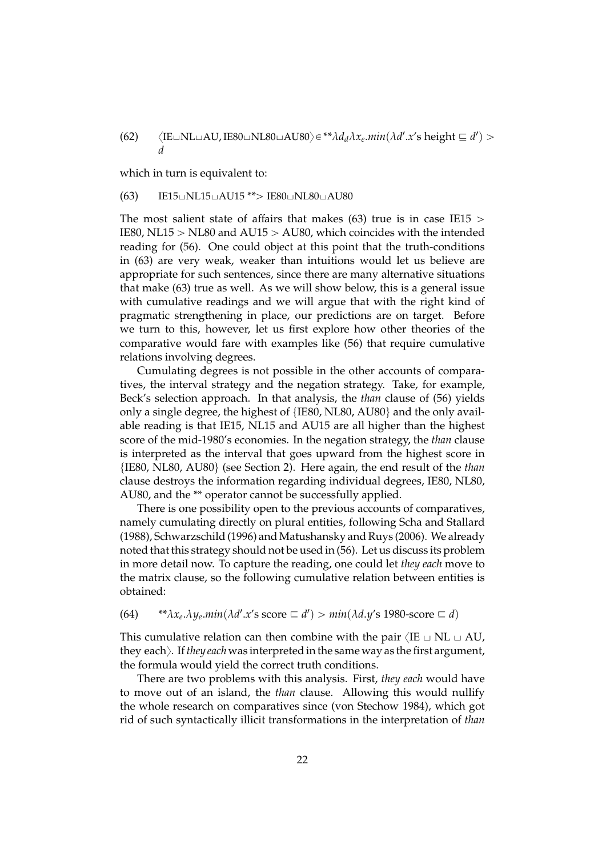(62)  $\langle$ IE $\sqcup$ NL $\sqcup$ AU, IE80 $\sqcup$ NL80 $\sqcup$ AU80 $\rangle \in$ <sup>\*\*</sup> $\lambda d_d \lambda x_e$ *.min*( $\lambda d'$ *.x'*s height  $\sqsubseteq d'$ ) > *d*

which in turn is equivalent to:

#### $(63)$  IE15 $\cup$ NL15 $\cup$ AU15 \*\* $>$  IE80 $\cup$ NL80 $\cup$ AU80

The most salient state of affairs that makes (63) true is in case IE15  $>$ IE80, NL15  $>$  NL80 and AU15  $>$  AU80, which coincides with the intended reading for (56). One could object at this point that the truth-conditions in (63) are very weak, weaker than intuitions would let us believe are appropriate for such sentences, since there are many alternative situations that make (63) true as well. As we will show below, this is a general issue with cumulative readings and we will argue that with the right kind of pragmatic strengthening in place, our predictions are on target. Before we turn to this, however, let us first explore how other theories of the comparative would fare with examples like (56) that require cumulative relations involving degrees.

Cumulating degrees is not possible in the other accounts of comparatives, the interval strategy and the negation strategy. Take, for example, Beck's selection approach. In that analysis, the *than* clause of (56) yields only a single degree, the highest of {IE80, NL80, AU80} and the only available reading is that IE15, NL15 and AU15 are all higher than the highest score of the mid-1980's economies. In the negation strategy, the *than* clause is interpreted as the interval that goes upward from the highest score in {IE80, NL80, AU80} (see Section 2). Here again, the end result of the *than* clause destroys the information regarding individual degrees, IE80, NL80, AU80, and the \*\* operator cannot be successfully applied.

There is one possibility open to the previous accounts of comparatives, namely cumulating directly on plural entities, following Scha and Stallard (1988), Schwarzschild (1996) and Matushansky and Ruys (2006). We already noted that this strategy should not be used in (56). Let us discuss its problem in more detail now. To capture the reading, one could let *they each* move to the matrix clause, so the following cumulative relation between entities is obtained:

### $(64)$  \*\* $\lambda x_e \cdot \lambda y_e \cdot min(\lambda d' \cdot x' s \text{ score } \equiv d') > min(\lambda d \cdot y' s \text{ 1980-score } \equiv d)$

This cumulative relation can then combine with the pair  $\langle IE \cup NL \cup AU$ , they eachy. If*they each* was interpreted in the same way as the first argument, the formula would yield the correct truth conditions.

There are two problems with this analysis. First, *they each* would have to move out of an island, the *than* clause. Allowing this would nullify the whole research on comparatives since (von Stechow 1984), which got rid of such syntactically illicit transformations in the interpretation of *than*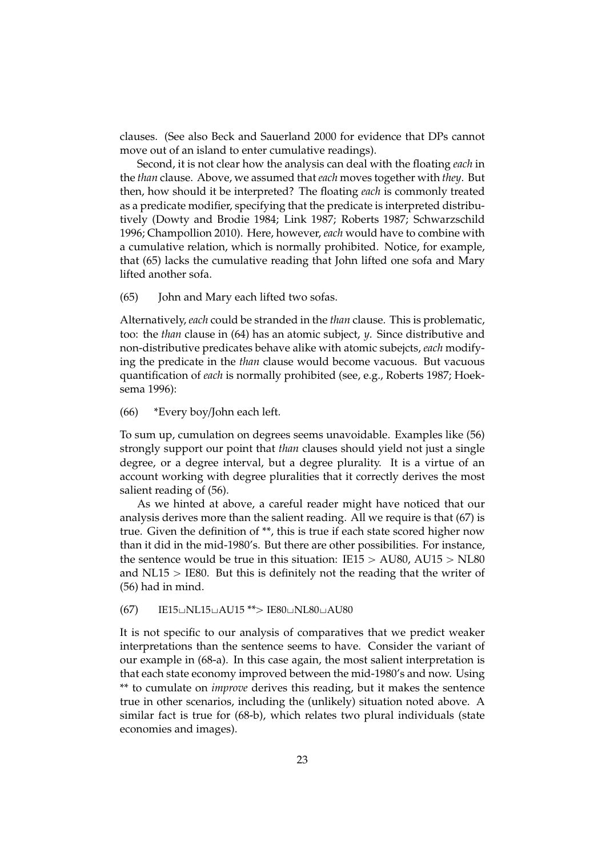clauses. (See also Beck and Sauerland 2000 for evidence that DPs cannot move out of an island to enter cumulative readings).

Second, it is not clear how the analysis can deal with the floating *each* in the *than* clause. Above, we assumed that *each* moves together with *they*. But then, how should it be interpreted? The floating *each* is commonly treated as a predicate modifier, specifying that the predicate is interpreted distributively (Dowty and Brodie 1984; Link 1987; Roberts 1987; Schwarzschild 1996; Champollion 2010). Here, however, *each* would have to combine with a cumulative relation, which is normally prohibited. Notice, for example, that (65) lacks the cumulative reading that John lifted one sofa and Mary lifted another sofa.

(65) John and Mary each lifted two sofas.

Alternatively, *each* could be stranded in the *than* clause. This is problematic, too: the *than* clause in (64) has an atomic subject, *y*. Since distributive and non-distributive predicates behave alike with atomic subejcts, *each* modifying the predicate in the *than* clause would become vacuous. But vacuous quantification of *each* is normally prohibited (see, e.g., Roberts 1987; Hoeksema 1996):

(66) \*Every boy/John each left.

To sum up, cumulation on degrees seems unavoidable. Examples like (56) strongly support our point that *than* clauses should yield not just a single degree, or a degree interval, but a degree plurality. It is a virtue of an account working with degree pluralities that it correctly derives the most salient reading of (56).

As we hinted at above, a careful reader might have noticed that our analysis derives more than the salient reading. All we require is that (67) is true. Given the definition of \*\*, this is true if each state scored higher now than it did in the mid-1980's. But there are other possibilities. For instance, the sentence would be true in this situation:  $IE15 > AU80$ ,  $AU15 > NL80$ and  $NL15 > IE80$ . But this is definitely not the reading that the writer of (56) had in mind.

 $(67)$  IE15 $\Box$ NL15 $\Box$ AU15 \*\* $>$  IE80 $\Box$ NL80 $\Box$ AU80

It is not specific to our analysis of comparatives that we predict weaker interpretations than the sentence seems to have. Consider the variant of our example in (68-a). In this case again, the most salient interpretation is that each state economy improved between the mid-1980's and now. Using \*\* to cumulate on *improve* derives this reading, but it makes the sentence true in other scenarios, including the (unlikely) situation noted above. A similar fact is true for (68-b), which relates two plural individuals (state economies and images).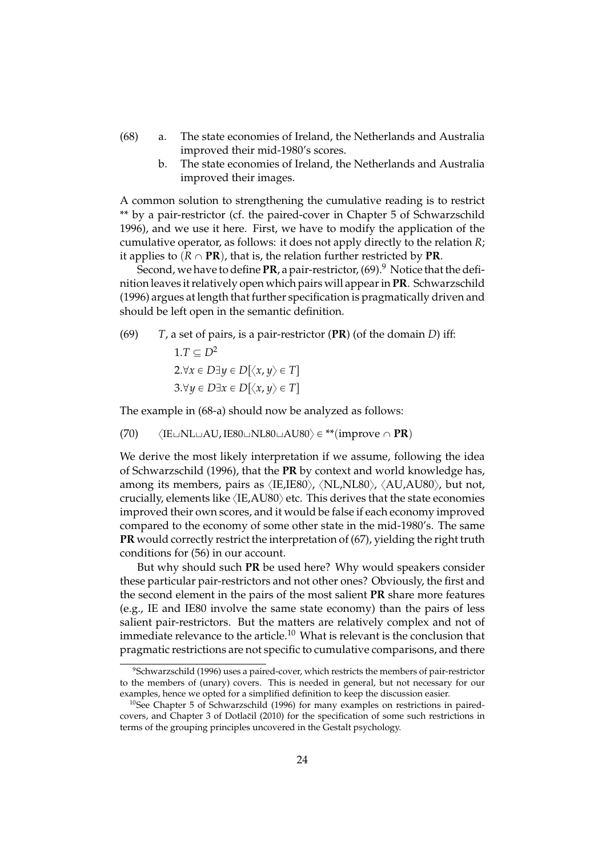- (68) a. The state economies of Ireland, the Netherlands and Australia improved their mid-1980's scores.
	- b. The state economies of Ireland, the Netherlands and Australia improved their images.

A common solution to strengthening the cumulative reading is to restrict \*\* by a pair-restrictor (cf. the paired-cover in Chapter 5 of Schwarzschild 1996), and we use it here. First, we have to modify the application of the cumulative operator, as follows: it does not apply directly to the relation *R*; it applies to  $(R \cap PR)$ , that is, the relation further restricted by **PR**.

Second, we have to define  $PR$ , a pair-restrictor,  $(69)$ .<sup>9</sup> Notice that the definition leaves it relatively open which pairs will appear in **PR**. Schwarzschild (1996) argues at length that further specification is pragmatically driven and should be left open in the semantic definition.

(69) *T*, a set of pairs, is a pair-restrictor (**PR**) (of the domain *D*) iff:

1.
$$
T \subseteq D^2
$$
  
2. $\forall x \in D \exists y \in D[\langle x, y \rangle \in T]$   
3. $\forall y \in D \exists x \in D[\langle x, y \rangle \in T]$ 

The example in (68-a) should now be analyzed as follows:

 $(70)$   $\langle$ IE $\sqcup$ NL $\sqcup$ AU, IE80 $\sqcup$ NL80 $\sqcup$ AU80 $\rangle \in$  \*\* $(\text{improve} \cap \text{PR})$ 

We derive the most likely interpretation if we assume, following the idea of Schwarzschild (1996), that the **PR** by context and world knowledge has, among its members, pairs as  $\langle$ IE,IE80 $\rangle$ ,  $\langle$ NL,NL80 $\rangle$ ,  $\langle$ AU,AU80 $\rangle$ , but not, crucially, elements like  $\langle$ IE,AU80 $\rangle$  etc. This derives that the state economies improved their own scores, and it would be false if each economy improved compared to the economy of some other state in the mid-1980's. The same **PR** would correctly restrict the interpretation of (67), yielding the right truth conditions for (56) in our account.

But why should such **PR** be used here? Why would speakers consider these particular pair-restrictors and not other ones? Obviously, the first and the second element in the pairs of the most salient **PR** share more features (e.g., IE and IE80 involve the same state economy) than the pairs of less salient pair-restrictors. But the matters are relatively complex and not of immediate relevance to the article.<sup>10</sup> What is relevant is the conclusion that pragmatic restrictions are not specific to cumulative comparisons, and there

<sup>&</sup>lt;sup>9</sup>Schwarzschild (1996) uses a paired-cover, which restricts the members of pair-restrictor to the members of (unary) covers. This is needed in general, but not necessary for our examples, hence we opted for a simplified definition to keep the discussion easier.

<sup>&</sup>lt;sup>10</sup>See Chapter 5 of Schwarzschild (1996) for many examples on restrictions in pairedcovers, and Chapter 3 of Dotlacil (2010) for the specification of some such restrictions in terms of the grouping principles uncovered in the Gestalt psychology.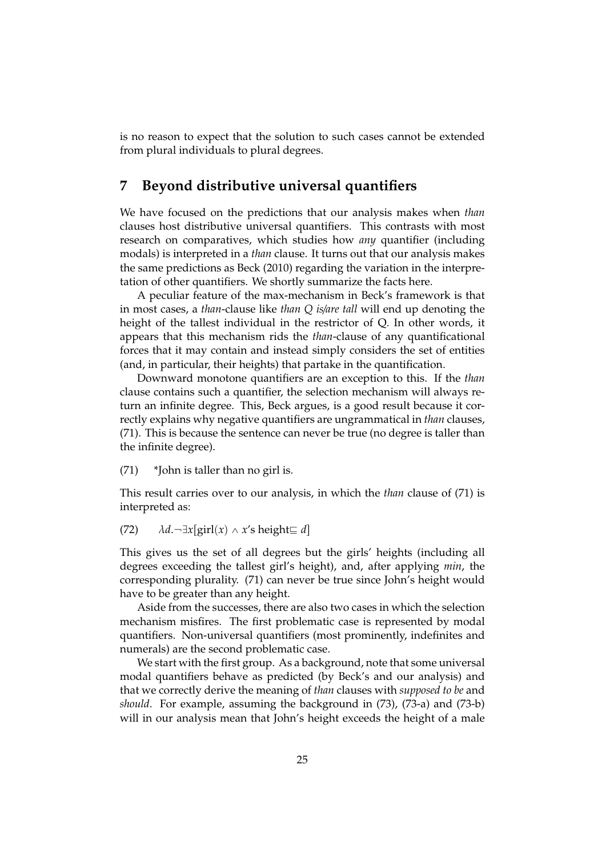is no reason to expect that the solution to such cases cannot be extended from plural individuals to plural degrees.

# **7 Beyond distributive universal quantifiers**

We have focused on the predictions that our analysis makes when *than* clauses host distributive universal quantifiers. This contrasts with most research on comparatives, which studies how *any* quantifier (including modals) is interpreted in a *than* clause. It turns out that our analysis makes the same predictions as Beck (2010) regarding the variation in the interpretation of other quantifiers. We shortly summarize the facts here.

A peculiar feature of the max-mechanism in Beck's framework is that in most cases, a *than*-clause like *than Q is*/*are tall* will end up denoting the height of the tallest individual in the restrictor of Q. In other words, it appears that this mechanism rids the *than*-clause of any quantificational forces that it may contain and instead simply considers the set of entities (and, in particular, their heights) that partake in the quantification.

Downward monotone quantifiers are an exception to this. If the *than* clause contains such a quantifier, the selection mechanism will always return an infinite degree. This, Beck argues, is a good result because it correctly explains why negative quantifiers are ungrammatical in *than* clauses, (71). This is because the sentence can never be true (no degree is taller than the infinite degree).

(71) \*John is taller than no girl is.

This result carries over to our analysis, in which the *than* clause of (71) is interpreted as:

 $(72)$   $\lambda d. \neg \exists x$ [girl $(x) \wedge x$ 's height $\sqsubseteq d$ ]

This gives us the set of all degrees but the girls' heights (including all degrees exceeding the tallest girl's height), and, after applying *min*, the corresponding plurality. (71) can never be true since John's height would have to be greater than any height.

Aside from the successes, there are also two cases in which the selection mechanism misfires. The first problematic case is represented by modal quantifiers. Non-universal quantifiers (most prominently, indefinites and numerals) are the second problematic case.

We start with the first group. As a background, note that some universal modal quantifiers behave as predicted (by Beck's and our analysis) and that we correctly derive the meaning of *than* clauses with *supposed to be* and *should*. For example, assuming the background in (73), (73-a) and (73-b) will in our analysis mean that John's height exceeds the height of a male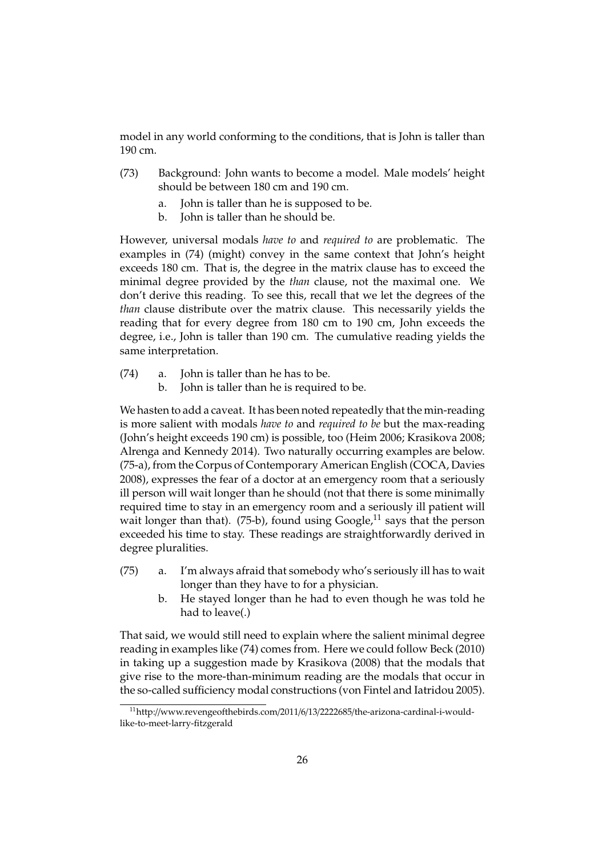model in any world conforming to the conditions, that is John is taller than 190 cm.

- (73) Background: John wants to become a model. Male models' height should be between 180 cm and 190 cm.
	- a. John is taller than he is supposed to be.
	- b. John is taller than he should be.

However, universal modals *have to* and *required to* are problematic. The examples in (74) (might) convey in the same context that John's height exceeds 180 cm. That is, the degree in the matrix clause has to exceed the minimal degree provided by the *than* clause, not the maximal one. We don't derive this reading. To see this, recall that we let the degrees of the *than* clause distribute over the matrix clause. This necessarily yields the reading that for every degree from 180 cm to 190 cm, John exceeds the degree, i.e., John is taller than 190 cm. The cumulative reading yields the same interpretation.

- (74) a. John is taller than he has to be.
	- b. John is taller than he is required to be.

We hasten to add a caveat. It has been noted repeatedly that the min-reading is more salient with modals *have to* and *required to be* but the max-reading (John's height exceeds 190 cm) is possible, too (Heim 2006; Krasikova 2008; Alrenga and Kennedy 2014). Two naturally occurring examples are below. (75-a), from the Corpus of Contemporary American English (COCA, Davies 2008), expresses the fear of a doctor at an emergency room that a seriously ill person will wait longer than he should (not that there is some minimally required time to stay in an emergency room and a seriously ill patient will wait longer than that). (75-b), found using  $Google<sup>11</sup>$  says that the person exceeded his time to stay. These readings are straightforwardly derived in degree pluralities.

- (75) a. I'm always afraid that somebody who's seriously ill has to wait longer than they have to for a physician.
	- b. He stayed longer than he had to even though he was told he had to leave(.)

That said, we would still need to explain where the salient minimal degree reading in examples like (74) comes from. Here we could follow Beck (2010) in taking up a suggestion made by Krasikova (2008) that the modals that give rise to the more-than-minimum reading are the modals that occur in the so-called sufficiency modal constructions (von Fintel and Iatridou 2005).

<sup>11</sup>http://www.revengeofthebirds.com/2011/6/13/2222685/the-arizona-cardinal-i-wouldlike-to-meet-larry-fitzgerald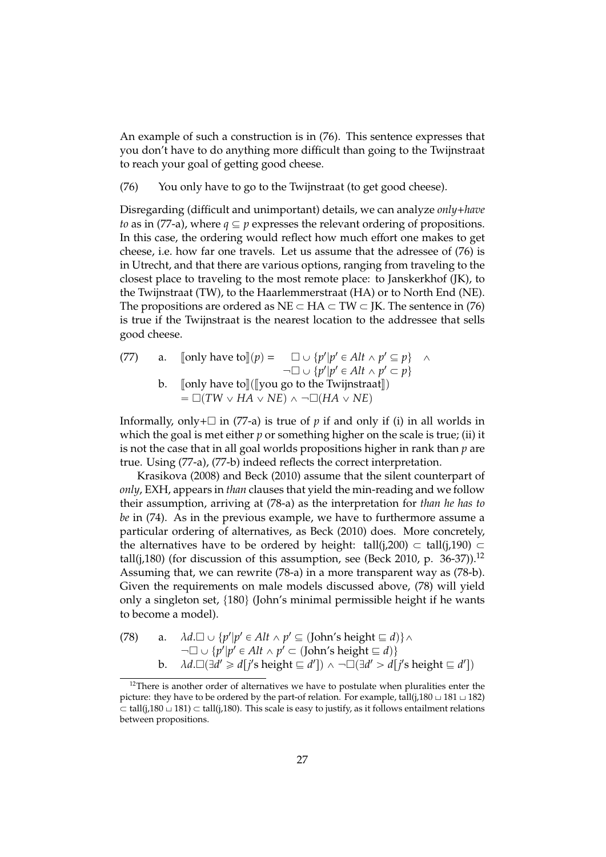An example of such a construction is in (76). This sentence expresses that you don't have to do anything more difficult than going to the Twijnstraat to reach your goal of getting good cheese.

(76) You only have to go to the Twijnstraat (to get good cheese).

Disregarding (difficult and unimportant) details, we can analyze *only*+*have to* as in (77-a), where  $q \subseteq p$  expresses the relevant ordering of propositions. In this case, the ordering would reflect how much effort one makes to get cheese, i.e. how far one travels. Let us assume that the adressee of (76) is in Utrecht, and that there are various options, ranging from traveling to the closest place to traveling to the most remote place: to Janskerkhof (JK), to the Twijnstraat (TW), to the Haarlemmerstraat (HA) or to North End (NE). The propositions are ordered as  $NE \subset HA \subset TW \subset K$ . The sentence in (76) is true if the Twijnstraat is the nearest location to the addressee that sells good cheese.

(77) a. [[only have to  $(p) = \Box \cup \{p'|p' \in Alt \land p' \subseteq p\} \land$  $\neg \Box \cup \{p'|p' \in Alt \land p' \subset p\}$ b.  $\lceil \text{only have to} \rceil(\lceil \text{you go to the Twijnstraat} \rceil)$  $= \Box(TW \vee HA \vee NE) \wedge \neg \Box(HA \vee NE)$ 

Informally, only+ $\Box$  in (77-a) is true of *p* if and only if (i) in all worlds in which the goal is met either *p* or something higher on the scale is true; (ii) it is not the case that in all goal worlds propositions higher in rank than *p* are true. Using (77-a), (77-b) indeed reflects the correct interpretation.

Krasikova (2008) and Beck (2010) assume that the silent counterpart of *only*, EXH, appears in *than* clauses that yield the min-reading and we follow their assumption, arriving at (78-a) as the interpretation for *than he has to be* in (74). As in the previous example, we have to furthermore assume a particular ordering of alternatives, as Beck (2010) does. More concretely, the alternatives have to be ordered by height: tall(j,200)  $\subset$  tall(j,190)  $\subset$ tall(j,180) (for discussion of this assumption, see (Beck 2010, p. 36-37)).<sup>12</sup> Assuming that, we can rewrite (78-a) in a more transparent way as (78-b). Given the requirements on male models discussed above, (78) will yield only a singleton set,  $\{180\}$  (John's minimal permissible height if he wants to become a model).

(78) a. 
$$
\lambda d.\Box \cup \{p'|p' \in Alt \land p' \subseteq (\text{John's height} \sqsubseteq d)\} \land
$$
  
\n $\neg \Box \cup \{p'|p' \in Alt \land p' \subset (\text{John's height} \sqsubseteq d)\}$   
\nb.  $\lambda d.\Box(\exists d' \geq d[j' \text{ s height} \sqsubseteq d']) \land \neg \Box(\exists d' > d[j' \text{ s height} \sqsubseteq d'])$ 

<sup>&</sup>lt;sup>12</sup>There is another order of alternatives we have to postulate when pluralities enter the picture: they have to be ordered by the part-of relation. For example, tall(j,180  $\sqcup$  181  $\sqcup$  182)  $\subset$  tall(i,180  $\perp$  181)  $\subset$  tall(i,180). This scale is easy to justify, as it follows entailment relations between propositions.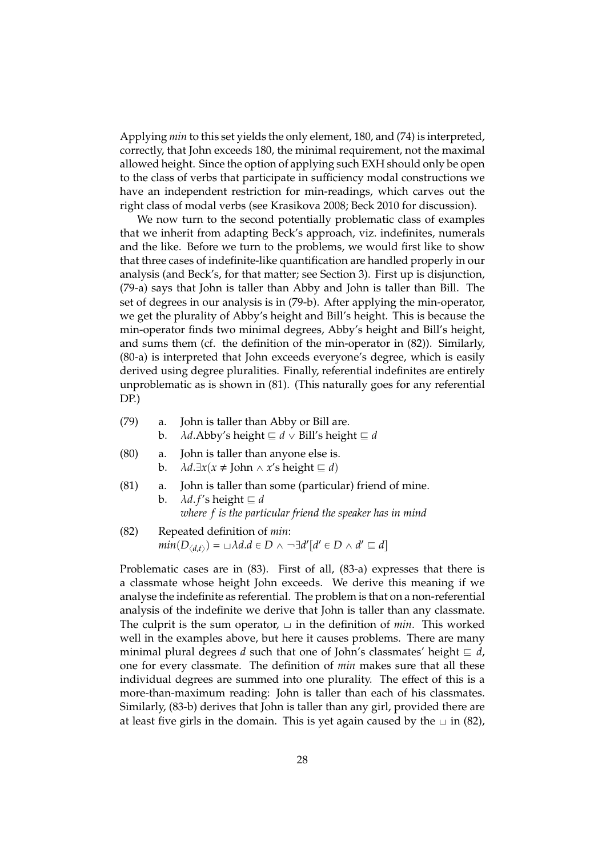Applying *min* to this set yields the only element, 180, and (74) is interpreted, correctly, that John exceeds 180, the minimal requirement, not the maximal allowed height. Since the option of applying such EXH should only be open to the class of verbs that participate in sufficiency modal constructions we have an independent restriction for min-readings, which carves out the right class of modal verbs (see Krasikova 2008; Beck 2010 for discussion).

We now turn to the second potentially problematic class of examples that we inherit from adapting Beck's approach, viz. indefinites, numerals and the like. Before we turn to the problems, we would first like to show that three cases of indefinite-like quantification are handled properly in our analysis (and Beck's, for that matter; see Section 3). First up is disjunction, (79-a) says that John is taller than Abby and John is taller than Bill. The set of degrees in our analysis is in (79-b). After applying the min-operator, we get the plurality of Abby's height and Bill's height. This is because the min-operator finds two minimal degrees, Abby's height and Bill's height, and sums them (cf. the definition of the min-operator in (82)). Similarly, (80-a) is interpreted that John exceeds everyone's degree, which is easily derived using degree pluralities. Finally, referential indefinites are entirely unproblematic as is shown in (81). (This naturally goes for any referential DP.)

- (79) a. John is taller than Abby or Bill are.
	- b.  $\lambda d$ .Abby's height  $\subseteq d \vee$  Bill's height  $\subseteq d$

(80) a. John is taller than anyone else is.  
b. 
$$
\lambda d.\exists x(x \neq \text{John} \land x \text{'s height} \sqsubseteq d)
$$

- (81) a. John is taller than some (particular) friend of mine.
	- b.  $\lambda d.f's$  height  $\equiv d$ *where f is the particular friend the speaker has in mind*
- (82) Repeated definition of *min*:  $min(D_{\langle d,t \rangle}) = \cup \lambda d.d \in D \wedge \neg \exists d' [d' \in D \wedge d' \sqsubseteq d]$

Problematic cases are in (83). First of all, (83-a) expresses that there is a classmate whose height John exceeds. We derive this meaning if we analyse the indefinite as referential. The problem is that on a non-referential analysis of the indefinite we derive that John is taller than any classmate. The culprit is the sum operator,  $\Box$  in the definition of *min*. This worked well in the examples above, but here it causes problems. There are many minimal plural degrees *d* such that one of John's classmates' height  $\equiv d$ , one for every classmate. The definition of *min* makes sure that all these individual degrees are summed into one plurality. The effect of this is a more-than-maximum reading: John is taller than each of his classmates. Similarly, (83-b) derives that John is taller than any girl, provided there are at least five girls in the domain. This is yet again caused by the  $\Box$  in (82),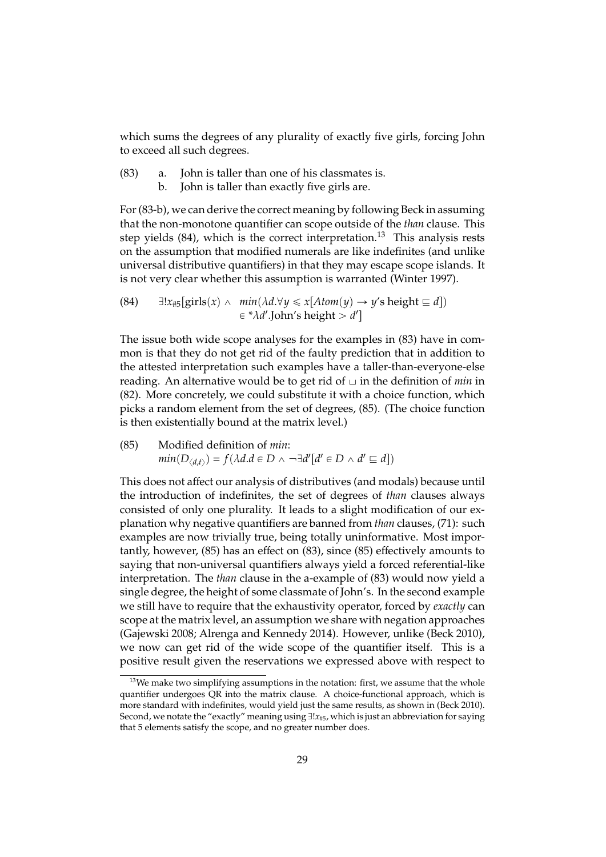which sums the degrees of any plurality of exactly five girls, forcing John to exceed all such degrees.

- (83) a. John is taller than one of his classmates is.
	- b. John is taller than exactly five girls are.

For (83-b), we can derive the correct meaning by following Beck in assuming that the non-monotone quantifier can scope outside of the *than* clause. This step yields  $(84)$ , which is the correct interpretation.<sup>13</sup> This analysis rests on the assumption that modified numerals are like indefinites (and unlike universal distributive quantifiers) in that they may escape scope islands. It is not very clear whether this assumption is warranted (Winter 1997).

(84) 
$$
\exists!x_{\#5}[\text{girls}(x) \land \min(\lambda d.\forall y \leq x[Atom(y) \rightarrow y's height \sqsubseteq d])
$$
  
 $\in {}^*\lambda d'.$ John's height > d']

The issue both wide scope analyses for the examples in (83) have in common is that they do not get rid of the faulty prediction that in addition to the attested interpretation such examples have a taller-than-everyone-else reading. An alternative would be to get rid of  $\Box$  in the definition of *min* in (82). More concretely, we could substitute it with a choice function, which picks a random element from the set of degrees, (85). (The choice function is then existentially bound at the matrix level.)

(85) Modified definition of *min*:  $min(D_{\langle d,t \rangle}) = f(\lambda d.d \in D \land \neg \exists d'[d' \in D \land d' \sqsubseteq d])$ 

This does not affect our analysis of distributives (and modals) because until the introduction of indefinites, the set of degrees of *than* clauses always consisted of only one plurality. It leads to a slight modification of our explanation why negative quantifiers are banned from *than* clauses, (71): such examples are now trivially true, being totally uninformative. Most importantly, however, (85) has an effect on (83), since (85) effectively amounts to saying that non-universal quantifiers always yield a forced referential-like interpretation. The *than* clause in the a-example of (83) would now yield a single degree, the height of some classmate of John's. In the second example we still have to require that the exhaustivity operator, forced by *exactly* can scope at the matrix level, an assumption we share with negation approaches (Gajewski 2008; Alrenga and Kennedy 2014). However, unlike (Beck 2010), we now can get rid of the wide scope of the quantifier itself. This is a positive result given the reservations we expressed above with respect to

 $13$ We make two simplifying assumptions in the notation: first, we assume that the whole quantifier undergoes QR into the matrix clause. A choice-functional approach, which is more standard with indefinites, would yield just the same results, as shown in (Beck 2010). Second, we notate the "exactly" meaning using  $\exists! x_{\#5}$ , which is just an abbreviation for saying that 5 elements satisfy the scope, and no greater number does.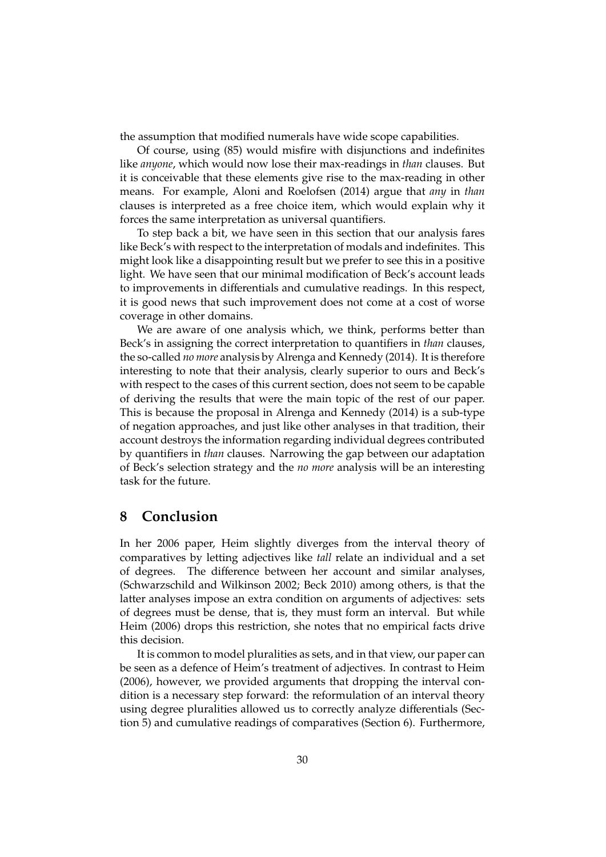the assumption that modified numerals have wide scope capabilities.

Of course, using (85) would misfire with disjunctions and indefinites like *anyone*, which would now lose their max-readings in *than* clauses. But it is conceivable that these elements give rise to the max-reading in other means. For example, Aloni and Roelofsen (2014) argue that *any* in *than* clauses is interpreted as a free choice item, which would explain why it forces the same interpretation as universal quantifiers.

To step back a bit, we have seen in this section that our analysis fares like Beck's with respect to the interpretation of modals and indefinites. This might look like a disappointing result but we prefer to see this in a positive light. We have seen that our minimal modification of Beck's account leads to improvements in differentials and cumulative readings. In this respect, it is good news that such improvement does not come at a cost of worse coverage in other domains.

We are aware of one analysis which, we think, performs better than Beck's in assigning the correct interpretation to quantifiers in *than* clauses, the so-called *no more* analysis by Alrenga and Kennedy (2014). It is therefore interesting to note that their analysis, clearly superior to ours and Beck's with respect to the cases of this current section, does not seem to be capable of deriving the results that were the main topic of the rest of our paper. This is because the proposal in Alrenga and Kennedy (2014) is a sub-type of negation approaches, and just like other analyses in that tradition, their account destroys the information regarding individual degrees contributed by quantifiers in *than* clauses. Narrowing the gap between our adaptation of Beck's selection strategy and the *no more* analysis will be an interesting task for the future.

### **8 Conclusion**

In her 2006 paper, Heim slightly diverges from the interval theory of comparatives by letting adjectives like *tall* relate an individual and a set of degrees. The difference between her account and similar analyses, (Schwarzschild and Wilkinson 2002; Beck 2010) among others, is that the latter analyses impose an extra condition on arguments of adjectives: sets of degrees must be dense, that is, they must form an interval. But while Heim (2006) drops this restriction, she notes that no empirical facts drive this decision.

It is common to model pluralities as sets, and in that view, our paper can be seen as a defence of Heim's treatment of adjectives. In contrast to Heim (2006), however, we provided arguments that dropping the interval condition is a necessary step forward: the reformulation of an interval theory using degree pluralities allowed us to correctly analyze differentials (Section 5) and cumulative readings of comparatives (Section 6). Furthermore,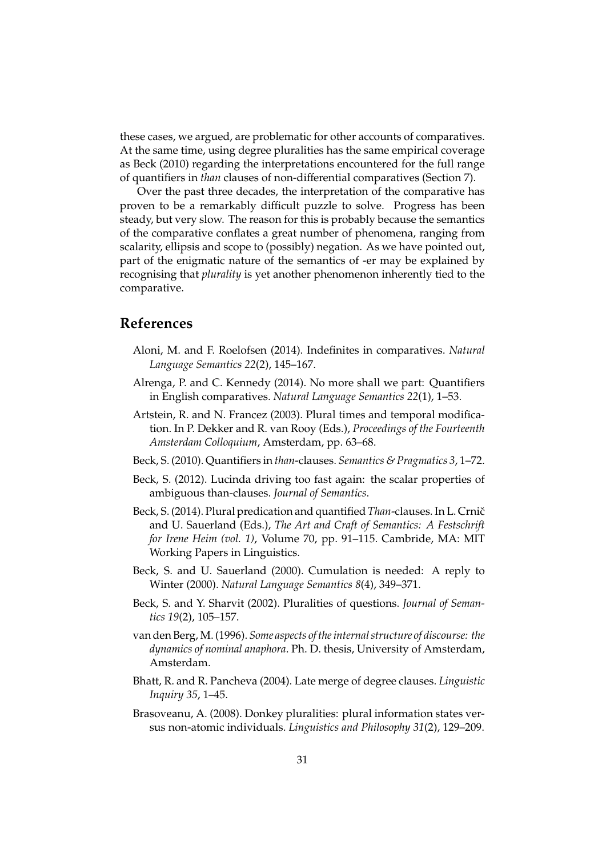these cases, we argued, are problematic for other accounts of comparatives. At the same time, using degree pluralities has the same empirical coverage as Beck (2010) regarding the interpretations encountered for the full range of quantifiers in *than* clauses of non-differential comparatives (Section 7).

Over the past three decades, the interpretation of the comparative has proven to be a remarkably difficult puzzle to solve. Progress has been steady, but very slow. The reason for this is probably because the semantics of the comparative conflates a great number of phenomena, ranging from scalarity, ellipsis and scope to (possibly) negation. As we have pointed out, part of the enigmatic nature of the semantics of -er may be explained by recognising that *plurality* is yet another phenomenon inherently tied to the comparative.

### **References**

- Aloni, M. and F. Roelofsen (2014). Indefinites in comparatives. *Natural Language Semantics 22*(2), 145–167.
- Alrenga, P. and C. Kennedy (2014). No more shall we part: Quantifiers in English comparatives. *Natural Language Semantics 22*(1), 1–53.
- Artstein, R. and N. Francez (2003). Plural times and temporal modification. In P. Dekker and R. van Rooy (Eds.), *Proceedings of the Fourteenth Amsterdam Colloquium*, Amsterdam, pp. 63–68.
- Beck, S. (2010). Quantifiers in *than*-clauses. *Semantics & Pragmatics 3*, 1–72.
- Beck, S. (2012). Lucinda driving too fast again: the scalar properties of ambiguous than-clauses. *Journal of Semantics*.
- Beck, S. (2014). Plural predication and quantified *Than-clauses*. In L. Crnič and U. Sauerland (Eds.), *The Art and Craft of Semantics: A Festschrift for Irene Heim (vol. 1)*, Volume 70, pp. 91–115. Cambride, MA: MIT Working Papers in Linguistics.
- Beck, S. and U. Sauerland (2000). Cumulation is needed: A reply to Winter (2000). *Natural Language Semantics 8*(4), 349–371.
- Beck, S. and Y. Sharvit (2002). Pluralities of questions. *Journal of Semantics 19*(2), 105–157.
- van den Berg, M. (1996). *Some aspects of the internal structure of discourse: the dynamics of nominal anaphora*. Ph. D. thesis, University of Amsterdam, Amsterdam.
- Bhatt, R. and R. Pancheva (2004). Late merge of degree clauses. *Linguistic Inquiry 35*, 1–45.
- Brasoveanu, A. (2008). Donkey pluralities: plural information states versus non-atomic individuals. *Linguistics and Philosophy 31*(2), 129–209.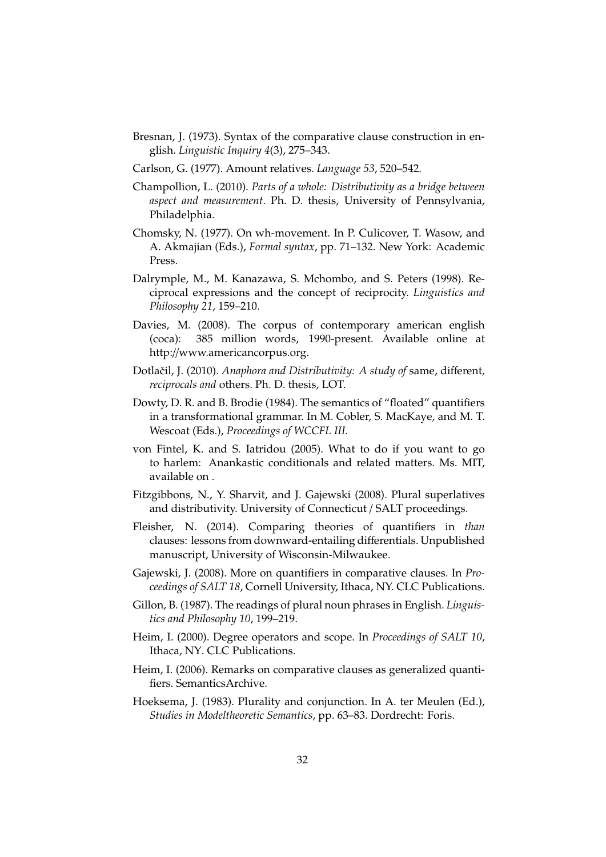- Bresnan, J. (1973). Syntax of the comparative clause construction in english. *Linguistic Inquiry 4*(3), 275–343.
- Carlson, G. (1977). Amount relatives. *Language 53*, 520–542.
- Champollion, L. (2010). *Parts of a whole: Distributivity as a bridge between aspect and measurement*. Ph. D. thesis, University of Pennsylvania, Philadelphia.
- Chomsky, N. (1977). On wh-movement. In P. Culicover, T. Wasow, and A. Akmajian (Eds.), *Formal syntax*, pp. 71–132. New York: Academic Press.
- Dalrymple, M., M. Kanazawa, S. Mchombo, and S. Peters (1998). Reciprocal expressions and the concept of reciprocity. *Linguistics and Philosophy 21*, 159–210.
- Davies, M. (2008). The corpus of contemporary american english (coca): 385 million words, 1990-present. Available online at http://www.americancorpus.org.
- Dotlačil, J. (2010). Anaphora and Distributivity: A study of same, different, *reciprocals and* others. Ph. D. thesis, LOT.
- Dowty, D. R. and B. Brodie (1984). The semantics of "floated" quantifiers in a transformational grammar. In M. Cobler, S. MacKaye, and M. T. Wescoat (Eds.), *Proceedings of WCCFL III*.
- von Fintel, K. and S. Iatridou (2005). What to do if you want to go to harlem: Anankastic conditionals and related matters. Ms. MIT, available on .
- Fitzgibbons, N., Y. Sharvit, and J. Gajewski (2008). Plural superlatives and distributivity. University of Connecticut / SALT proceedings.
- Fleisher, N. (2014). Comparing theories of quantifiers in *than* clauses: lessons from downward-entailing differentials. Unpublished manuscript, University of Wisconsin-Milwaukee.
- Gajewski, J. (2008). More on quantifiers in comparative clauses. In *Proceedings of SALT 18*, Cornell University, Ithaca, NY. CLC Publications.
- Gillon, B. (1987). The readings of plural noun phrases in English. *Linguistics and Philosophy 10*, 199–219.
- Heim, I. (2000). Degree operators and scope. In *Proceedings of SALT 10*, Ithaca, NY. CLC Publications.
- Heim, I. (2006). Remarks on comparative clauses as generalized quantifiers. SemanticsArchive.
- Hoeksema, J. (1983). Plurality and conjunction. In A. ter Meulen (Ed.), *Studies in Modeltheoretic Semantics*, pp. 63–83. Dordrecht: Foris.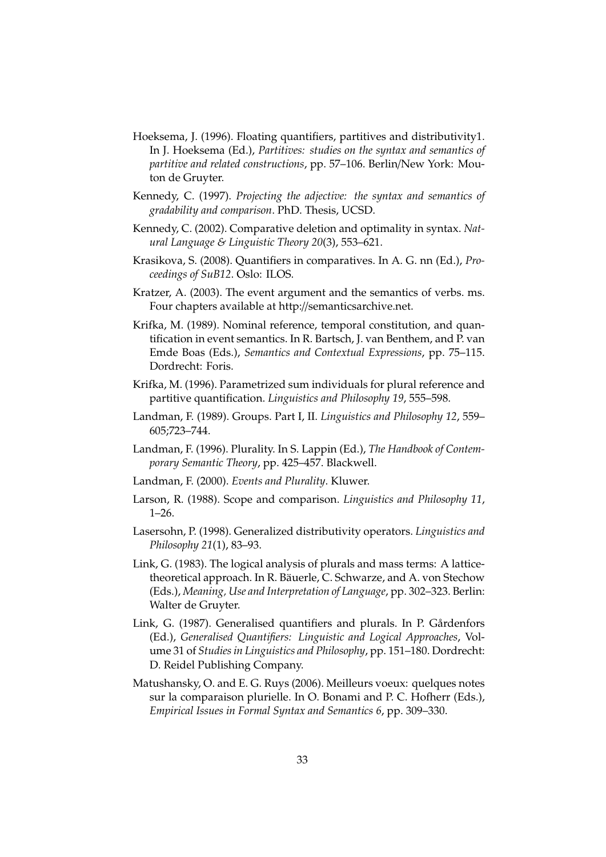- Hoeksema, J. (1996). Floating quantifiers, partitives and distributivity1. In J. Hoeksema (Ed.), *Partitives: studies on the syntax and semantics of partitive and related constructions*, pp. 57–106. Berlin/New York: Mouton de Gruyter.
- Kennedy, C. (1997). *Projecting the adjective: the syntax and semantics of gradability and comparison*. PhD. Thesis, UCSD.
- Kennedy, C. (2002). Comparative deletion and optimality in syntax. *Natural Language & Linguistic Theory 20*(3), 553–621.
- Krasikova, S. (2008). Quantifiers in comparatives. In A. G. nn (Ed.), *Proceedings of SuB12*. Oslo: ILOS.
- Kratzer, A. (2003). The event argument and the semantics of verbs. ms. Four chapters available at http://semanticsarchive.net.
- Krifka, M. (1989). Nominal reference, temporal constitution, and quantification in event semantics. In R. Bartsch, J. van Benthem, and P. van Emde Boas (Eds.), *Semantics and Contextual Expressions*, pp. 75–115. Dordrecht: Foris.
- Krifka, M. (1996). Parametrized sum individuals for plural reference and partitive quantification. *Linguistics and Philosophy 19*, 555–598.
- Landman, F. (1989). Groups. Part I, II. *Linguistics and Philosophy 12*, 559– 605;723–744.
- Landman, F. (1996). Plurality. In S. Lappin (Ed.), *The Handbook of Contemporary Semantic Theory*, pp. 425–457. Blackwell.
- Landman, F. (2000). *Events and Plurality*. Kluwer.
- Larson, R. (1988). Scope and comparison. *Linguistics and Philosophy 11*, 1–26.
- Lasersohn, P. (1998). Generalized distributivity operators. *Linguistics and Philosophy 21*(1), 83–93.
- Link, G. (1983). The logical analysis of plurals and mass terms: A latticetheoretical approach. In R. Bäuerle, C. Schwarze, and A. von Stechow (Eds.), *Meaning, Use and Interpretation of Language*, pp. 302–323. Berlin: Walter de Gruyter.
- Link, G. (1987). Generalised quantifiers and plurals. In P. Gårdenfors (Ed.), *Generalised Quantifiers: Linguistic and Logical Approaches*, Volume 31 of *Studies in Linguistics and Philosophy*, pp. 151–180. Dordrecht: D. Reidel Publishing Company.
- Matushansky, O. and E. G. Ruys (2006). Meilleurs voeux: quelques notes sur la comparaison plurielle. In O. Bonami and P. C. Hofherr (Eds.), *Empirical Issues in Formal Syntax and Semantics 6*, pp. 309–330.